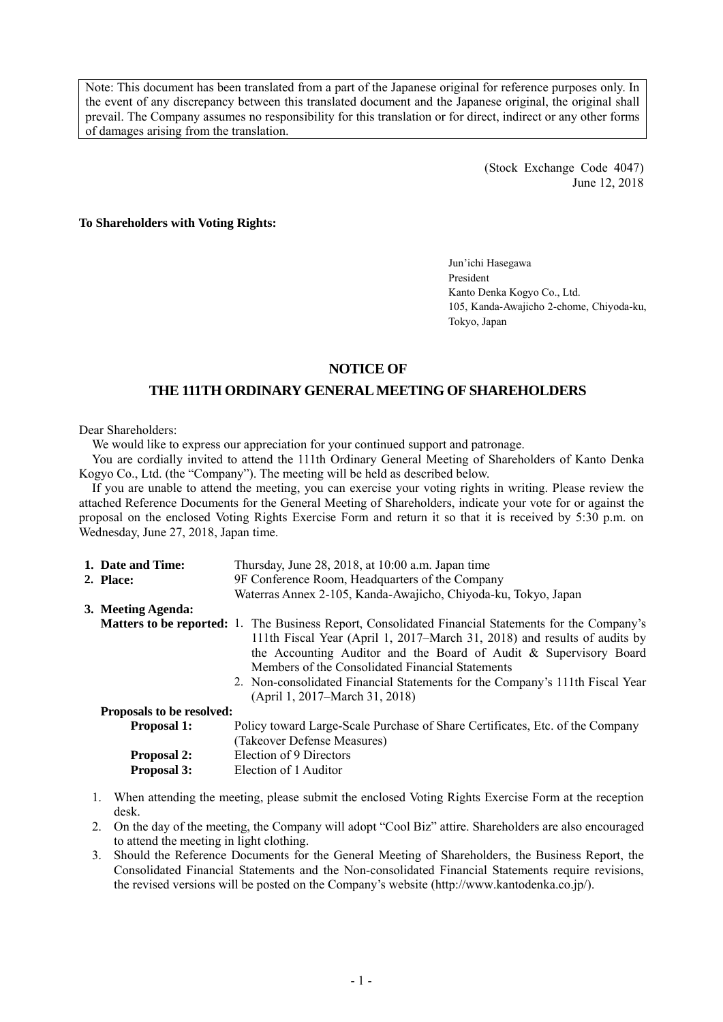Note: This document has been translated from a part of the Japanese original for reference purposes only. In the event of any discrepancy between this translated document and the Japanese original, the original shall prevail. The Company assumes no responsibility for this translation or for direct, indirect or any other forms of damages arising from the translation.

> (Stock Exchange Code 4047) June 12, 2018

**To Shareholders with Voting Rights:** 

Jun'ichi Hasegawa President Kanto Denka Kogyo Co., Ltd. 105, Kanda-Awajicho 2-chome, Chiyoda-ku, Tokyo, Japan

## **NOTICE OF**

# **THE 111TH ORDINARY GENERAL MEETING OF SHAREHOLDERS**

Dear Shareholders:

We would like to express our appreciation for your continued support and patronage.

You are cordially invited to attend the 111th Ordinary General Meeting of Shareholders of Kanto Denka Kogyo Co., Ltd. (the "Company"). The meeting will be held as described below.

If you are unable to attend the meeting, you can exercise your voting rights in writing. Please review the attached Reference Documents for the General Meeting of Shareholders, indicate your vote for or against the proposal on the enclosed Voting Rights Exercise Form and return it so that it is received by 5:30 p.m. on Wednesday, June 27, 2018, Japan time.

| 1. Date and Time:                | Thursday, June 28, 2018, at 10:00 a.m. Japan time                                                                                                                                                                                                                                                                                                                                                                                  |
|----------------------------------|------------------------------------------------------------------------------------------------------------------------------------------------------------------------------------------------------------------------------------------------------------------------------------------------------------------------------------------------------------------------------------------------------------------------------------|
| 2. Place:                        | 9F Conference Room, Headquarters of the Company                                                                                                                                                                                                                                                                                                                                                                                    |
|                                  | Waterras Annex 2-105, Kanda-Awajicho, Chiyoda-ku, Tokyo, Japan                                                                                                                                                                                                                                                                                                                                                                     |
| 3. Meeting Agenda:               |                                                                                                                                                                                                                                                                                                                                                                                                                                    |
|                                  | <b>Matters to be reported:</b> 1. The Business Report, Consolidated Financial Statements for the Company's<br>111th Fiscal Year (April 1, 2017–March 31, 2018) and results of audits by<br>the Accounting Auditor and the Board of Audit & Supervisory Board<br>Members of the Consolidated Financial Statements<br>2. Non-consolidated Financial Statements for the Company's 111th Fiscal Year<br>(April 1, 2017–March 31, 2018) |
| <b>Proposals to be resolved:</b> |                                                                                                                                                                                                                                                                                                                                                                                                                                    |
| <b>Proposal 1:</b>               | Policy toward Large-Scale Purchase of Share Certificates, Etc. of the Company                                                                                                                                                                                                                                                                                                                                                      |
|                                  | (Takeover Defense Measures)                                                                                                                                                                                                                                                                                                                                                                                                        |
| <b>Proposal 2:</b>               | Election of 9 Directors                                                                                                                                                                                                                                                                                                                                                                                                            |
| Proposal 3:                      | Election of 1 Auditor                                                                                                                                                                                                                                                                                                                                                                                                              |

- 1. When attending the meeting, please submit the enclosed Voting Rights Exercise Form at the reception desk.
- 2. On the day of the meeting, the Company will adopt "Cool Biz" attire. Shareholders are also encouraged to attend the meeting in light clothing.
- 3. Should the Reference Documents for the General Meeting of Shareholders, the Business Report, the Consolidated Financial Statements and the Non-consolidated Financial Statements require revisions, the revised versions will be posted on the Company's website (http://www.kantodenka.co.jp/).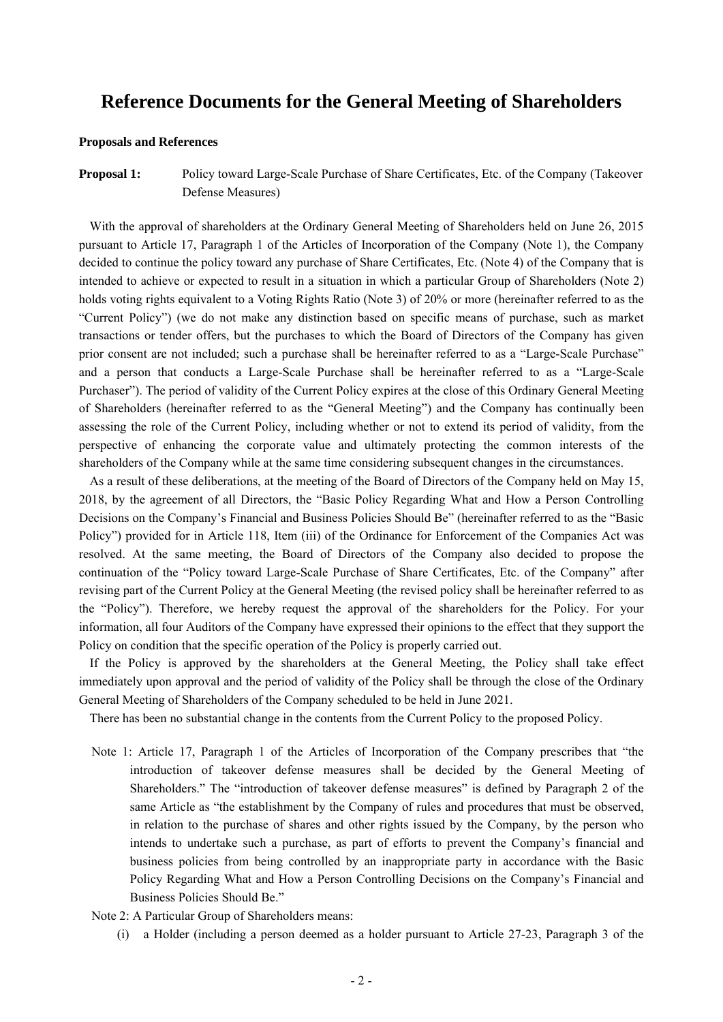# **Reference Documents for the General Meeting of Shareholders**

#### **Proposals and References**

**Proposal 1:** Policy toward Large-Scale Purchase of Share Certificates, Etc. of the Company (Takeover Defense Measures)

With the approval of shareholders at the Ordinary General Meeting of Shareholders held on June 26, 2015 pursuant to Article 17, Paragraph 1 of the Articles of Incorporation of the Company (Note 1), the Company decided to continue the policy toward any purchase of Share Certificates, Etc. (Note 4) of the Company that is intended to achieve or expected to result in a situation in which a particular Group of Shareholders (Note 2) holds voting rights equivalent to a Voting Rights Ratio (Note 3) of 20% or more (hereinafter referred to as the "Current Policy") (we do not make any distinction based on specific means of purchase, such as market transactions or tender offers, but the purchases to which the Board of Directors of the Company has given prior consent are not included; such a purchase shall be hereinafter referred to as a "Large-Scale Purchase" and a person that conducts a Large-Scale Purchase shall be hereinafter referred to as a "Large-Scale Purchaser"). The period of validity of the Current Policy expires at the close of this Ordinary General Meeting of Shareholders (hereinafter referred to as the "General Meeting") and the Company has continually been assessing the role of the Current Policy, including whether or not to extend its period of validity, from the perspective of enhancing the corporate value and ultimately protecting the common interests of the shareholders of the Company while at the same time considering subsequent changes in the circumstances.

As a result of these deliberations, at the meeting of the Board of Directors of the Company held on May 15, 2018, by the agreement of all Directors, the "Basic Policy Regarding What and How a Person Controlling Decisions on the Company's Financial and Business Policies Should Be" (hereinafter referred to as the "Basic Policy") provided for in Article 118, Item (iii) of the Ordinance for Enforcement of the Companies Act was resolved. At the same meeting, the Board of Directors of the Company also decided to propose the continuation of the "Policy toward Large-Scale Purchase of Share Certificates, Etc. of the Company" after revising part of the Current Policy at the General Meeting (the revised policy shall be hereinafter referred to as the "Policy"). Therefore, we hereby request the approval of the shareholders for the Policy. For your information, all four Auditors of the Company have expressed their opinions to the effect that they support the Policy on condition that the specific operation of the Policy is properly carried out.

If the Policy is approved by the shareholders at the General Meeting, the Policy shall take effect immediately upon approval and the period of validity of the Policy shall be through the close of the Ordinary General Meeting of Shareholders of the Company scheduled to be held in June 2021.

There has been no substantial change in the contents from the Current Policy to the proposed Policy.

- Note 1: Article 17, Paragraph 1 of the Articles of Incorporation of the Company prescribes that "the introduction of takeover defense measures shall be decided by the General Meeting of Shareholders." The "introduction of takeover defense measures" is defined by Paragraph 2 of the same Article as "the establishment by the Company of rules and procedures that must be observed, in relation to the purchase of shares and other rights issued by the Company, by the person who intends to undertake such a purchase, as part of efforts to prevent the Company's financial and business policies from being controlled by an inappropriate party in accordance with the Basic Policy Regarding What and How a Person Controlling Decisions on the Company's Financial and Business Policies Should Be."
- Note 2: A Particular Group of Shareholders means:
	- (i) a Holder (including a person deemed as a holder pursuant to Article 27-23, Paragraph 3 of the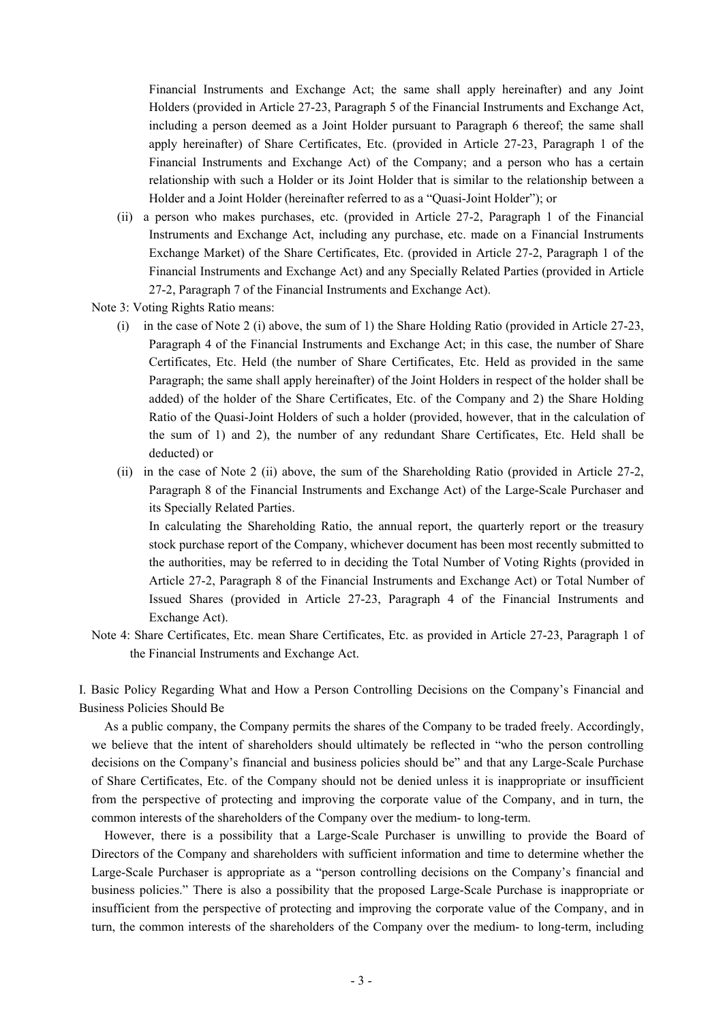Financial Instruments and Exchange Act; the same shall apply hereinafter) and any Joint Holders (provided in Article 27-23, Paragraph 5 of the Financial Instruments and Exchange Act, including a person deemed as a Joint Holder pursuant to Paragraph 6 thereof; the same shall apply hereinafter) of Share Certificates, Etc. (provided in Article 27-23, Paragraph 1 of the Financial Instruments and Exchange Act) of the Company; and a person who has a certain relationship with such a Holder or its Joint Holder that is similar to the relationship between a Holder and a Joint Holder (hereinafter referred to as a "Quasi-Joint Holder"); or

(ii) a person who makes purchases, etc. (provided in Article 27-2, Paragraph 1 of the Financial Instruments and Exchange Act, including any purchase, etc. made on a Financial Instruments Exchange Market) of the Share Certificates, Etc. (provided in Article 27-2, Paragraph 1 of the Financial Instruments and Exchange Act) and any Specially Related Parties (provided in Article 27-2, Paragraph 7 of the Financial Instruments and Exchange Act).

Note 3: Voting Rights Ratio means:

- (i) in the case of Note 2 (i) above, the sum of 1) the Share Holding Ratio (provided in Article 27-23, Paragraph 4 of the Financial Instruments and Exchange Act; in this case, the number of Share Certificates, Etc. Held (the number of Share Certificates, Etc. Held as provided in the same Paragraph; the same shall apply hereinafter) of the Joint Holders in respect of the holder shall be added) of the holder of the Share Certificates, Etc. of the Company and 2) the Share Holding Ratio of the Quasi-Joint Holders of such a holder (provided, however, that in the calculation of the sum of 1) and 2), the number of any redundant Share Certificates, Etc. Held shall be deducted) or
- (ii) in the case of Note 2 (ii) above, the sum of the Shareholding Ratio (provided in Article 27-2, Paragraph 8 of the Financial Instruments and Exchange Act) of the Large-Scale Purchaser and its Specially Related Parties.

In calculating the Shareholding Ratio, the annual report, the quarterly report or the treasury stock purchase report of the Company, whichever document has been most recently submitted to the authorities, may be referred to in deciding the Total Number of Voting Rights (provided in Article 27-2, Paragraph 8 of the Financial Instruments and Exchange Act) or Total Number of Issued Shares (provided in Article 27-23, Paragraph 4 of the Financial Instruments and Exchange Act).

Note 4: Share Certificates, Etc. mean Share Certificates, Etc. as provided in Article 27-23, Paragraph 1 of the Financial Instruments and Exchange Act.

I. Basic Policy Regarding What and How a Person Controlling Decisions on the Company's Financial and Business Policies Should Be

As a public company, the Company permits the shares of the Company to be traded freely. Accordingly, we believe that the intent of shareholders should ultimately be reflected in "who the person controlling decisions on the Company's financial and business policies should be" and that any Large-Scale Purchase of Share Certificates, Etc. of the Company should not be denied unless it is inappropriate or insufficient from the perspective of protecting and improving the corporate value of the Company, and in turn, the common interests of the shareholders of the Company over the medium- to long-term.

However, there is a possibility that a Large-Scale Purchaser is unwilling to provide the Board of Directors of the Company and shareholders with sufficient information and time to determine whether the Large-Scale Purchaser is appropriate as a "person controlling decisions on the Company's financial and business policies." There is also a possibility that the proposed Large-Scale Purchase is inappropriate or insufficient from the perspective of protecting and improving the corporate value of the Company, and in turn, the common interests of the shareholders of the Company over the medium- to long-term, including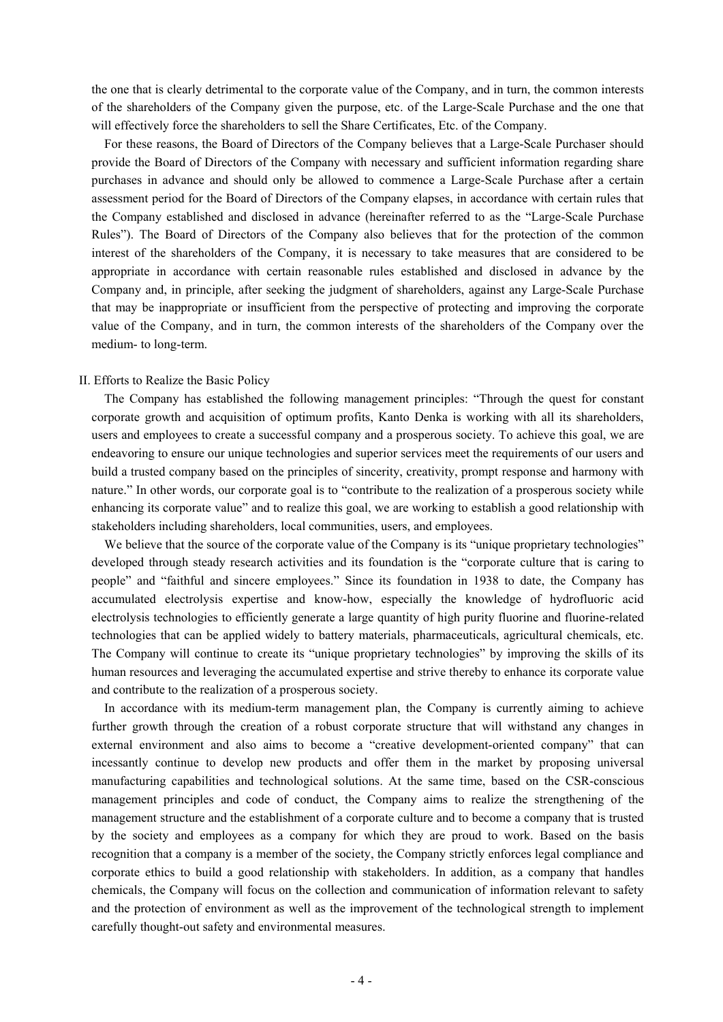the one that is clearly detrimental to the corporate value of the Company, and in turn, the common interests of the shareholders of the Company given the purpose, etc. of the Large-Scale Purchase and the one that will effectively force the shareholders to sell the Share Certificates, Etc. of the Company.

For these reasons, the Board of Directors of the Company believes that a Large-Scale Purchaser should provide the Board of Directors of the Company with necessary and sufficient information regarding share purchases in advance and should only be allowed to commence a Large-Scale Purchase after a certain assessment period for the Board of Directors of the Company elapses, in accordance with certain rules that the Company established and disclosed in advance (hereinafter referred to as the "Large-Scale Purchase Rules"). The Board of Directors of the Company also believes that for the protection of the common interest of the shareholders of the Company, it is necessary to take measures that are considered to be appropriate in accordance with certain reasonable rules established and disclosed in advance by the Company and, in principle, after seeking the judgment of shareholders, against any Large-Scale Purchase that may be inappropriate or insufficient from the perspective of protecting and improving the corporate value of the Company, and in turn, the common interests of the shareholders of the Company over the medium- to long-term.

### II. Efforts to Realize the Basic Policy

The Company has established the following management principles: "Through the quest for constant corporate growth and acquisition of optimum profits, Kanto Denka is working with all its shareholders, users and employees to create a successful company and a prosperous society. To achieve this goal, we are endeavoring to ensure our unique technologies and superior services meet the requirements of our users and build a trusted company based on the principles of sincerity, creativity, prompt response and harmony with nature." In other words, our corporate goal is to "contribute to the realization of a prosperous society while enhancing its corporate value" and to realize this goal, we are working to establish a good relationship with stakeholders including shareholders, local communities, users, and employees.

We believe that the source of the corporate value of the Company is its "unique proprietary technologies" developed through steady research activities and its foundation is the "corporate culture that is caring to people" and "faithful and sincere employees." Since its foundation in 1938 to date, the Company has accumulated electrolysis expertise and know-how, especially the knowledge of hydrofluoric acid electrolysis technologies to efficiently generate a large quantity of high purity fluorine and fluorine-related technologies that can be applied widely to battery materials, pharmaceuticals, agricultural chemicals, etc. The Company will continue to create its "unique proprietary technologies" by improving the skills of its human resources and leveraging the accumulated expertise and strive thereby to enhance its corporate value and contribute to the realization of a prosperous society.

In accordance with its medium-term management plan, the Company is currently aiming to achieve further growth through the creation of a robust corporate structure that will withstand any changes in external environment and also aims to become a "creative development-oriented company" that can incessantly continue to develop new products and offer them in the market by proposing universal manufacturing capabilities and technological solutions. At the same time, based on the CSR-conscious management principles and code of conduct, the Company aims to realize the strengthening of the management structure and the establishment of a corporate culture and to become a company that is trusted by the society and employees as a company for which they are proud to work. Based on the basis recognition that a company is a member of the society, the Company strictly enforces legal compliance and corporate ethics to build a good relationship with stakeholders. In addition, as a company that handles chemicals, the Company will focus on the collection and communication of information relevant to safety and the protection of environment as well as the improvement of the technological strength to implement carefully thought-out safety and environmental measures.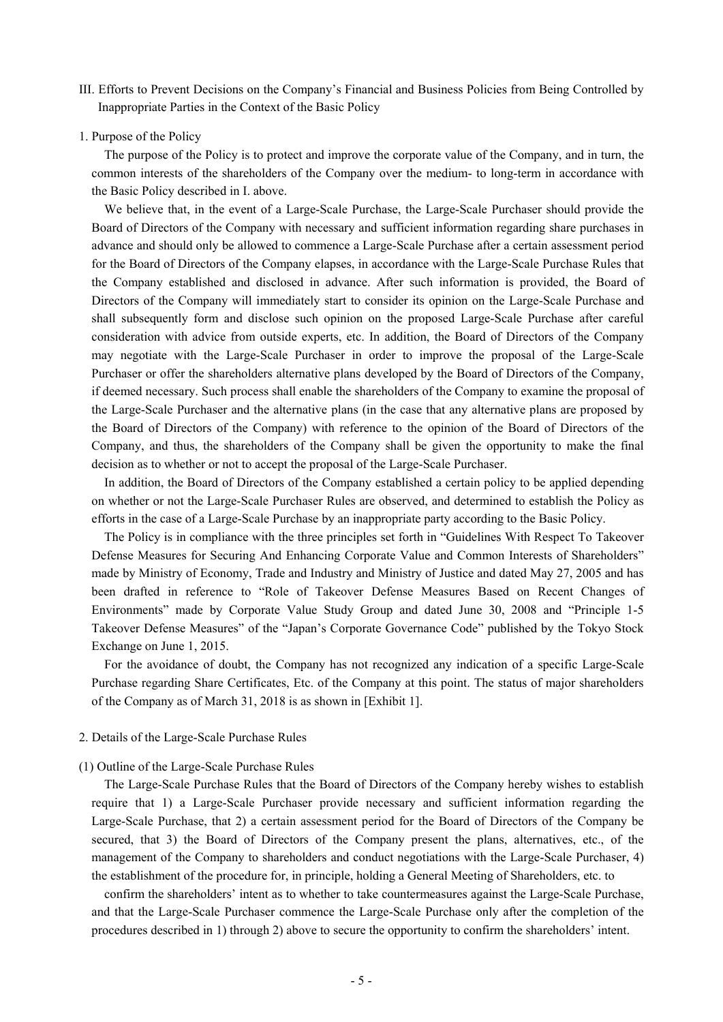- III. Efforts to Prevent Decisions on the Company's Financial and Business Policies from Being Controlled by Inappropriate Parties in the Context of the Basic Policy
- 1. Purpose of the Policy

The purpose of the Policy is to protect and improve the corporate value of the Company, and in turn, the common interests of the shareholders of the Company over the medium- to long-term in accordance with the Basic Policy described in I. above.

We believe that, in the event of a Large-Scale Purchase, the Large-Scale Purchaser should provide the Board of Directors of the Company with necessary and sufficient information regarding share purchases in advance and should only be allowed to commence a Large-Scale Purchase after a certain assessment period for the Board of Directors of the Company elapses, in accordance with the Large-Scale Purchase Rules that the Company established and disclosed in advance. After such information is provided, the Board of Directors of the Company will immediately start to consider its opinion on the Large-Scale Purchase and shall subsequently form and disclose such opinion on the proposed Large-Scale Purchase after careful consideration with advice from outside experts, etc. In addition, the Board of Directors of the Company may negotiate with the Large-Scale Purchaser in order to improve the proposal of the Large-Scale Purchaser or offer the shareholders alternative plans developed by the Board of Directors of the Company, if deemed necessary. Such process shall enable the shareholders of the Company to examine the proposal of the Large-Scale Purchaser and the alternative plans (in the case that any alternative plans are proposed by the Board of Directors of the Company) with reference to the opinion of the Board of Directors of the Company, and thus, the shareholders of the Company shall be given the opportunity to make the final decision as to whether or not to accept the proposal of the Large-Scale Purchaser.

In addition, the Board of Directors of the Company established a certain policy to be applied depending on whether or not the Large-Scale Purchaser Rules are observed, and determined to establish the Policy as efforts in the case of a Large-Scale Purchase by an inappropriate party according to the Basic Policy.

The Policy is in compliance with the three principles set forth in "Guidelines With Respect To Takeover Defense Measures for Securing And Enhancing Corporate Value and Common Interests of Shareholders" made by Ministry of Economy, Trade and Industry and Ministry of Justice and dated May 27, 2005 and has been drafted in reference to "Role of Takeover Defense Measures Based on Recent Changes of Environments" made by Corporate Value Study Group and dated June 30, 2008 and "Principle 1-5 Takeover Defense Measures" of the "Japan's Corporate Governance Code" published by the Tokyo Stock Exchange on June 1, 2015.

For the avoidance of doubt, the Company has not recognized any indication of a specific Large-Scale Purchase regarding Share Certificates, Etc. of the Company at this point. The status of major shareholders of the Company as of March 31, 2018 is as shown in [Exhibit 1].

2. Details of the Large-Scale Purchase Rules

### (1) Outline of the Large-Scale Purchase Rules

The Large-Scale Purchase Rules that the Board of Directors of the Company hereby wishes to establish require that 1) a Large-Scale Purchaser provide necessary and sufficient information regarding the Large-Scale Purchase, that 2) a certain assessment period for the Board of Directors of the Company be secured, that 3) the Board of Directors of the Company present the plans, alternatives, etc., of the management of the Company to shareholders and conduct negotiations with the Large-Scale Purchaser, 4) the establishment of the procedure for, in principle, holding a General Meeting of Shareholders, etc. to

confirm the shareholders' intent as to whether to take countermeasures against the Large-Scale Purchase, and that the Large-Scale Purchaser commence the Large-Scale Purchase only after the completion of the procedures described in 1) through 2) above to secure the opportunity to confirm the shareholders' intent.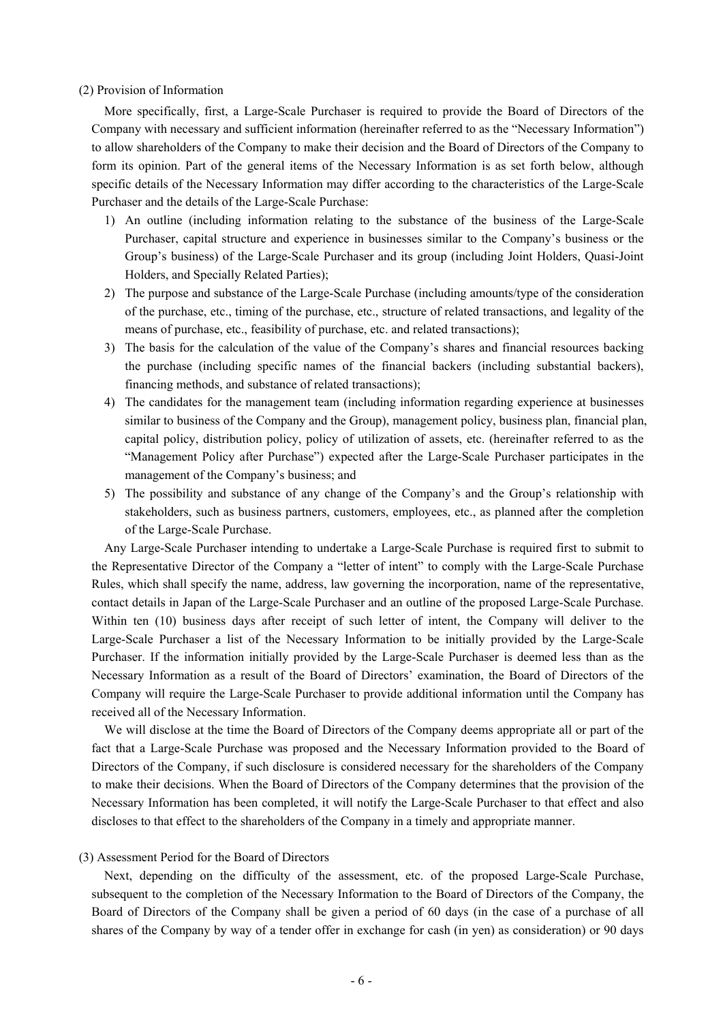### (2) Provision of Information

More specifically, first, a Large-Scale Purchaser is required to provide the Board of Directors of the Company with necessary and sufficient information (hereinafter referred to as the "Necessary Information") to allow shareholders of the Company to make their decision and the Board of Directors of the Company to form its opinion. Part of the general items of the Necessary Information is as set forth below, although specific details of the Necessary Information may differ according to the characteristics of the Large-Scale Purchaser and the details of the Large-Scale Purchase:

- 1) An outline (including information relating to the substance of the business of the Large-Scale Purchaser, capital structure and experience in businesses similar to the Company's business or the Group's business) of the Large-Scale Purchaser and its group (including Joint Holders, Quasi-Joint Holders, and Specially Related Parties);
- 2) The purpose and substance of the Large-Scale Purchase (including amounts/type of the consideration of the purchase, etc., timing of the purchase, etc., structure of related transactions, and legality of the means of purchase, etc., feasibility of purchase, etc. and related transactions);
- 3) The basis for the calculation of the value of the Company's shares and financial resources backing the purchase (including specific names of the financial backers (including substantial backers), financing methods, and substance of related transactions);
- 4) The candidates for the management team (including information regarding experience at businesses similar to business of the Company and the Group), management policy, business plan, financial plan, capital policy, distribution policy, policy of utilization of assets, etc. (hereinafter referred to as the "Management Policy after Purchase") expected after the Large-Scale Purchaser participates in the management of the Company's business; and
- 5) The possibility and substance of any change of the Company's and the Group's relationship with stakeholders, such as business partners, customers, employees, etc., as planned after the completion of the Large-Scale Purchase.

Any Large-Scale Purchaser intending to undertake a Large-Scale Purchase is required first to submit to the Representative Director of the Company a "letter of intent" to comply with the Large-Scale Purchase Rules, which shall specify the name, address, law governing the incorporation, name of the representative, contact details in Japan of the Large-Scale Purchaser and an outline of the proposed Large-Scale Purchase. Within ten (10) business days after receipt of such letter of intent, the Company will deliver to the Large-Scale Purchaser a list of the Necessary Information to be initially provided by the Large-Scale Purchaser. If the information initially provided by the Large-Scale Purchaser is deemed less than as the Necessary Information as a result of the Board of Directors' examination, the Board of Directors of the Company will require the Large-Scale Purchaser to provide additional information until the Company has received all of the Necessary Information.

We will disclose at the time the Board of Directors of the Company deems appropriate all or part of the fact that a Large-Scale Purchase was proposed and the Necessary Information provided to the Board of Directors of the Company, if such disclosure is considered necessary for the shareholders of the Company to make their decisions. When the Board of Directors of the Company determines that the provision of the Necessary Information has been completed, it will notify the Large-Scale Purchaser to that effect and also discloses to that effect to the shareholders of the Company in a timely and appropriate manner.

## (3) Assessment Period for the Board of Directors

Next, depending on the difficulty of the assessment, etc. of the proposed Large-Scale Purchase, subsequent to the completion of the Necessary Information to the Board of Directors of the Company, the Board of Directors of the Company shall be given a period of 60 days (in the case of a purchase of all shares of the Company by way of a tender offer in exchange for cash (in yen) as consideration) or 90 days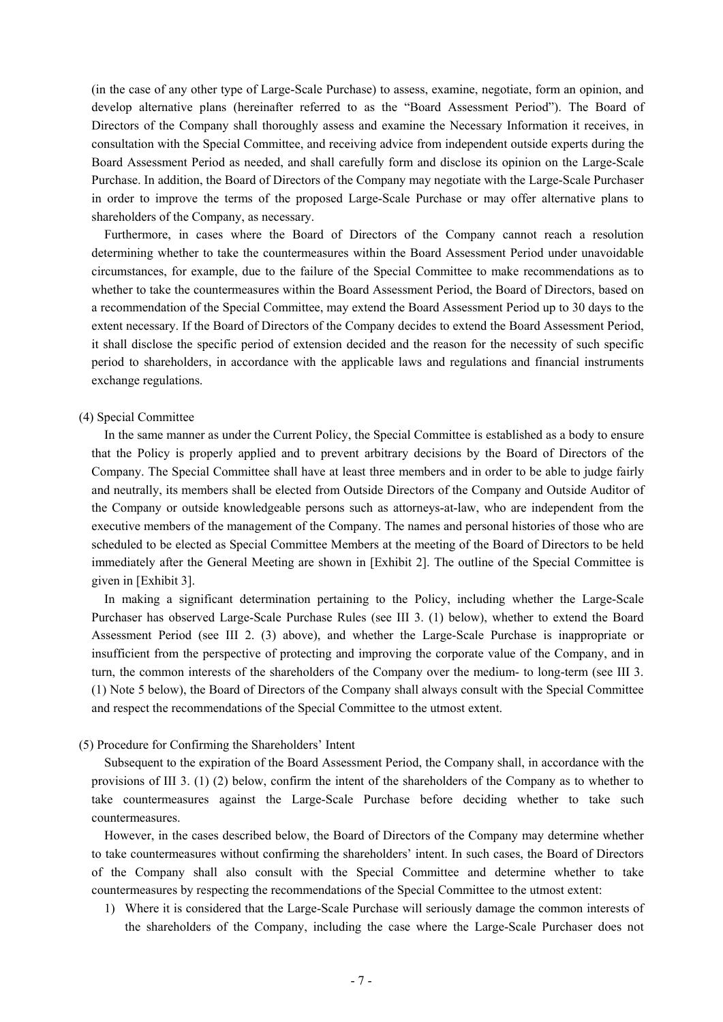(in the case of any other type of Large-Scale Purchase) to assess, examine, negotiate, form an opinion, and develop alternative plans (hereinafter referred to as the "Board Assessment Period"). The Board of Directors of the Company shall thoroughly assess and examine the Necessary Information it receives, in consultation with the Special Committee, and receiving advice from independent outside experts during the Board Assessment Period as needed, and shall carefully form and disclose its opinion on the Large-Scale Purchase. In addition, the Board of Directors of the Company may negotiate with the Large-Scale Purchaser in order to improve the terms of the proposed Large-Scale Purchase or may offer alternative plans to shareholders of the Company, as necessary.

Furthermore, in cases where the Board of Directors of the Company cannot reach a resolution determining whether to take the countermeasures within the Board Assessment Period under unavoidable circumstances, for example, due to the failure of the Special Committee to make recommendations as to whether to take the countermeasures within the Board Assessment Period, the Board of Directors, based on a recommendation of the Special Committee, may extend the Board Assessment Period up to 30 days to the extent necessary. If the Board of Directors of the Company decides to extend the Board Assessment Period, it shall disclose the specific period of extension decided and the reason for the necessity of such specific period to shareholders, in accordance with the applicable laws and regulations and financial instruments exchange regulations.

### (4) Special Committee

In the same manner as under the Current Policy, the Special Committee is established as a body to ensure that the Policy is properly applied and to prevent arbitrary decisions by the Board of Directors of the Company. The Special Committee shall have at least three members and in order to be able to judge fairly and neutrally, its members shall be elected from Outside Directors of the Company and Outside Auditor of the Company or outside knowledgeable persons such as attorneys-at-law, who are independent from the executive members of the management of the Company. The names and personal histories of those who are scheduled to be elected as Special Committee Members at the meeting of the Board of Directors to be held immediately after the General Meeting are shown in [Exhibit 2]. The outline of the Special Committee is given in [Exhibit 3].

In making a significant determination pertaining to the Policy, including whether the Large-Scale Purchaser has observed Large-Scale Purchase Rules (see III 3. (1) below), whether to extend the Board Assessment Period (see III 2. (3) above), and whether the Large-Scale Purchase is inappropriate or insufficient from the perspective of protecting and improving the corporate value of the Company, and in turn, the common interests of the shareholders of the Company over the medium- to long-term (see III 3. (1) Note 5 below), the Board of Directors of the Company shall always consult with the Special Committee and respect the recommendations of the Special Committee to the utmost extent.

#### (5) Procedure for Confirming the Shareholders' Intent

Subsequent to the expiration of the Board Assessment Period, the Company shall, in accordance with the provisions of III 3. (1) (2) below, confirm the intent of the shareholders of the Company as to whether to take countermeasures against the Large-Scale Purchase before deciding whether to take such countermeasures.

However, in the cases described below, the Board of Directors of the Company may determine whether to take countermeasures without confirming the shareholders' intent. In such cases, the Board of Directors of the Company shall also consult with the Special Committee and determine whether to take countermeasures by respecting the recommendations of the Special Committee to the utmost extent:

1) Where it is considered that the Large-Scale Purchase will seriously damage the common interests of the shareholders of the Company, including the case where the Large-Scale Purchaser does not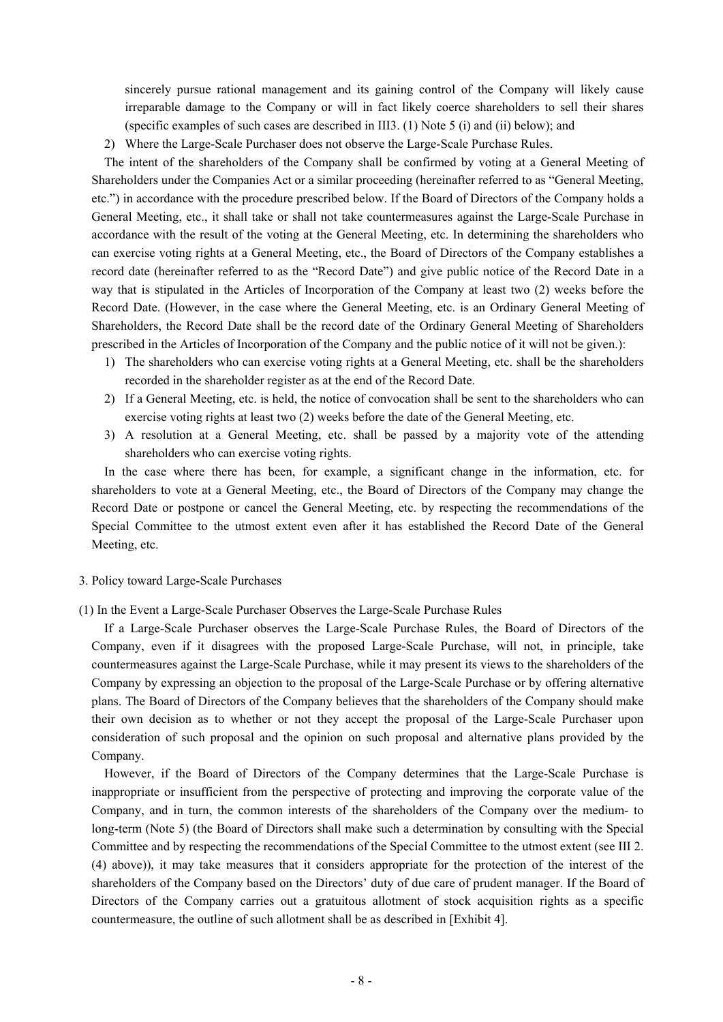sincerely pursue rational management and its gaining control of the Company will likely cause irreparable damage to the Company or will in fact likely coerce shareholders to sell their shares (specific examples of such cases are described in III3. (1) Note 5 (i) and (ii) below); and

2) Where the Large-Scale Purchaser does not observe the Large-Scale Purchase Rules.

The intent of the shareholders of the Company shall be confirmed by voting at a General Meeting of Shareholders under the Companies Act or a similar proceeding (hereinafter referred to as "General Meeting, etc.") in accordance with the procedure prescribed below. If the Board of Directors of the Company holds a General Meeting, etc., it shall take or shall not take countermeasures against the Large-Scale Purchase in accordance with the result of the voting at the General Meeting, etc. In determining the shareholders who can exercise voting rights at a General Meeting, etc., the Board of Directors of the Company establishes a record date (hereinafter referred to as the "Record Date") and give public notice of the Record Date in a way that is stipulated in the Articles of Incorporation of the Company at least two (2) weeks before the Record Date. (However, in the case where the General Meeting, etc. is an Ordinary General Meeting of Shareholders, the Record Date shall be the record date of the Ordinary General Meeting of Shareholders prescribed in the Articles of Incorporation of the Company and the public notice of it will not be given.):

- 1) The shareholders who can exercise voting rights at a General Meeting, etc. shall be the shareholders recorded in the shareholder register as at the end of the Record Date.
- 2) If a General Meeting, etc. is held, the notice of convocation shall be sent to the shareholders who can exercise voting rights at least two (2) weeks before the date of the General Meeting, etc.
- 3) A resolution at a General Meeting, etc. shall be passed by a majority vote of the attending shareholders who can exercise voting rights.

In the case where there has been, for example, a significant change in the information, etc. for shareholders to vote at a General Meeting, etc., the Board of Directors of the Company may change the Record Date or postpone or cancel the General Meeting, etc. by respecting the recommendations of the Special Committee to the utmost extent even after it has established the Record Date of the General Meeting, etc.

- 3. Policy toward Large-Scale Purchases
- (1) In the Event a Large-Scale Purchaser Observes the Large-Scale Purchase Rules

If a Large-Scale Purchaser observes the Large-Scale Purchase Rules, the Board of Directors of the Company, even if it disagrees with the proposed Large-Scale Purchase, will not, in principle, take countermeasures against the Large-Scale Purchase, while it may present its views to the shareholders of the Company by expressing an objection to the proposal of the Large-Scale Purchase or by offering alternative plans. The Board of Directors of the Company believes that the shareholders of the Company should make their own decision as to whether or not they accept the proposal of the Large-Scale Purchaser upon consideration of such proposal and the opinion on such proposal and alternative plans provided by the Company.

However, if the Board of Directors of the Company determines that the Large-Scale Purchase is inappropriate or insufficient from the perspective of protecting and improving the corporate value of the Company, and in turn, the common interests of the shareholders of the Company over the medium- to long-term (Note 5) (the Board of Directors shall make such a determination by consulting with the Special Committee and by respecting the recommendations of the Special Committee to the utmost extent (see III 2. (4) above)), it may take measures that it considers appropriate for the protection of the interest of the shareholders of the Company based on the Directors' duty of due care of prudent manager. If the Board of Directors of the Company carries out a gratuitous allotment of stock acquisition rights as a specific countermeasure, the outline of such allotment shall be as described in [Exhibit 4].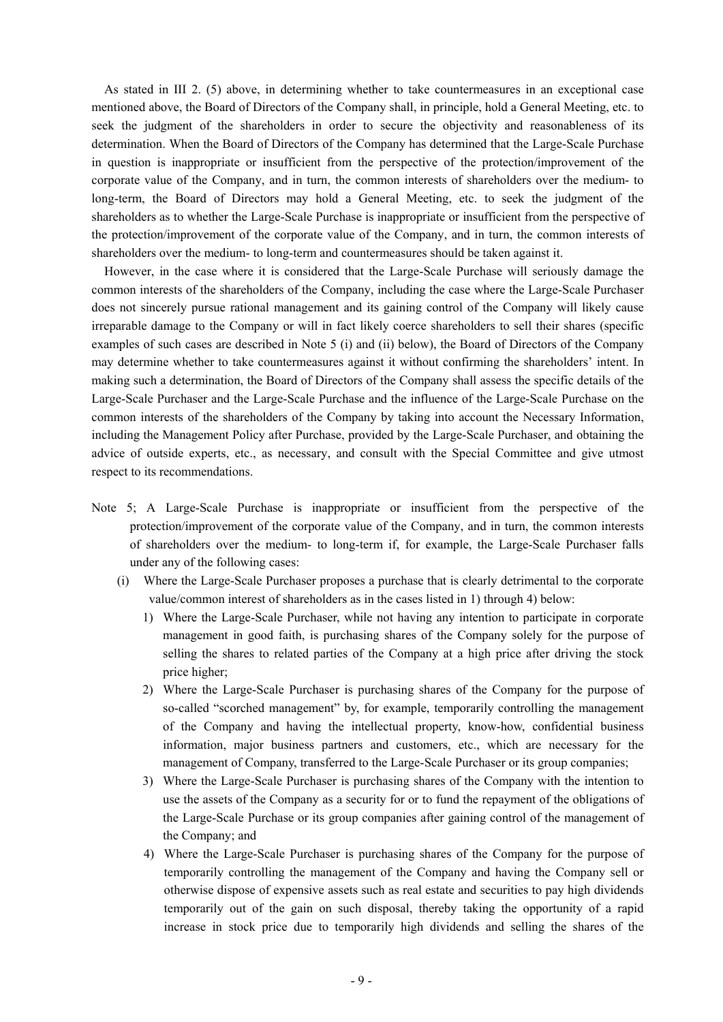As stated in III 2. (5) above, in determining whether to take countermeasures in an exceptional case mentioned above, the Board of Directors of the Company shall, in principle, hold a General Meeting, etc. to seek the judgment of the shareholders in order to secure the objectivity and reasonableness of its determination. When the Board of Directors of the Company has determined that the Large-Scale Purchase in question is inappropriate or insufficient from the perspective of the protection/improvement of the corporate value of the Company, and in turn, the common interests of shareholders over the medium- to long-term, the Board of Directors may hold a General Meeting, etc. to seek the judgment of the shareholders as to whether the Large-Scale Purchase is inappropriate or insufficient from the perspective of the protection/improvement of the corporate value of the Company, and in turn, the common interests of shareholders over the medium- to long-term and countermeasures should be taken against it.

However, in the case where it is considered that the Large-Scale Purchase will seriously damage the common interests of the shareholders of the Company, including the case where the Large-Scale Purchaser does not sincerely pursue rational management and its gaining control of the Company will likely cause irreparable damage to the Company or will in fact likely coerce shareholders to sell their shares (specific examples of such cases are described in Note 5 (i) and (ii) below), the Board of Directors of the Company may determine whether to take countermeasures against it without confirming the shareholders' intent. In making such a determination, the Board of Directors of the Company shall assess the specific details of the Large-Scale Purchaser and the Large-Scale Purchase and the influence of the Large-Scale Purchase on the common interests of the shareholders of the Company by taking into account the Necessary Information, including the Management Policy after Purchase, provided by the Large-Scale Purchaser, and obtaining the advice of outside experts, etc., as necessary, and consult with the Special Committee and give utmost respect to its recommendations.

- Note 5; A Large-Scale Purchase is inappropriate or insufficient from the perspective of the protection/improvement of the corporate value of the Company, and in turn, the common interests of shareholders over the medium- to long-term if, for example, the Large-Scale Purchaser falls under any of the following cases:
	- (i) Where the Large-Scale Purchaser proposes a purchase that is clearly detrimental to the corporate value/common interest of shareholders as in the cases listed in 1) through 4) below:
		- 1) Where the Large-Scale Purchaser, while not having any intention to participate in corporate management in good faith, is purchasing shares of the Company solely for the purpose of selling the shares to related parties of the Company at a high price after driving the stock price higher;
		- 2) Where the Large-Scale Purchaser is purchasing shares of the Company for the purpose of so-called "scorched management" by, for example, temporarily controlling the management of the Company and having the intellectual property, know-how, confidential business information, major business partners and customers, etc., which are necessary for the management of Company, transferred to the Large-Scale Purchaser or its group companies;
		- 3) Where the Large-Scale Purchaser is purchasing shares of the Company with the intention to use the assets of the Company as a security for or to fund the repayment of the obligations of the Large-Scale Purchase or its group companies after gaining control of the management of the Company; and
		- 4) Where the Large-Scale Purchaser is purchasing shares of the Company for the purpose of temporarily controlling the management of the Company and having the Company sell or otherwise dispose of expensive assets such as real estate and securities to pay high dividends temporarily out of the gain on such disposal, thereby taking the opportunity of a rapid increase in stock price due to temporarily high dividends and selling the shares of the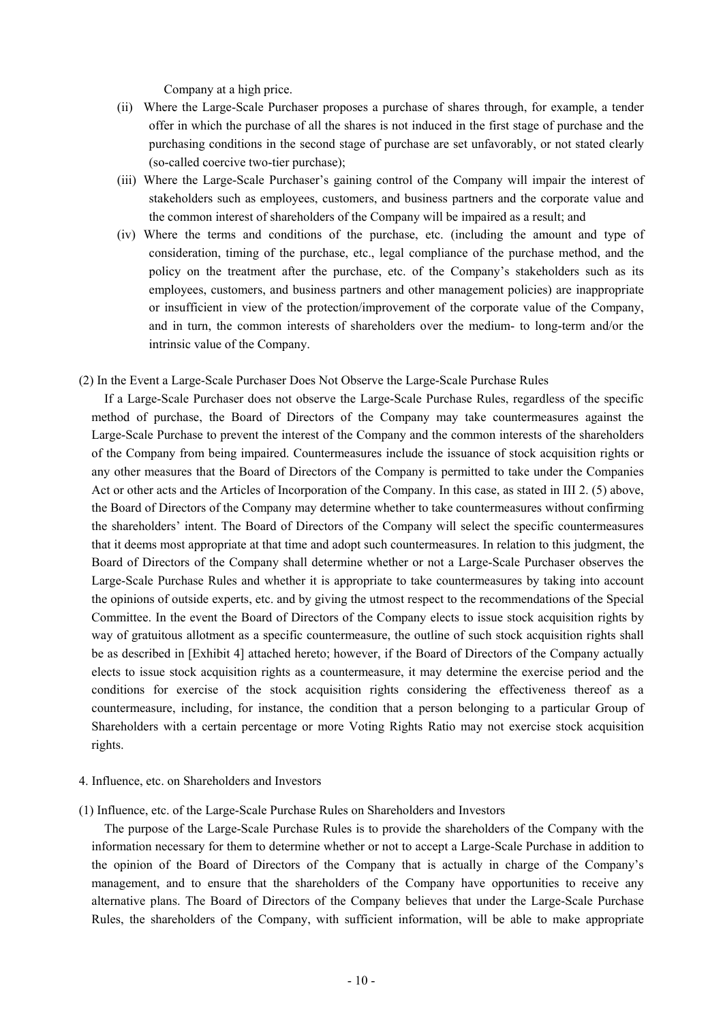Company at a high price.

- (ii) Where the Large-Scale Purchaser proposes a purchase of shares through, for example, a tender offer in which the purchase of all the shares is not induced in the first stage of purchase and the purchasing conditions in the second stage of purchase are set unfavorably, or not stated clearly (so-called coercive two-tier purchase);
- (iii) Where the Large-Scale Purchaser's gaining control of the Company will impair the interest of stakeholders such as employees, customers, and business partners and the corporate value and the common interest of shareholders of the Company will be impaired as a result; and
- (iv) Where the terms and conditions of the purchase, etc. (including the amount and type of consideration, timing of the purchase, etc., legal compliance of the purchase method, and the policy on the treatment after the purchase, etc. of the Company's stakeholders such as its employees, customers, and business partners and other management policies) are inappropriate or insufficient in view of the protection/improvement of the corporate value of the Company, and in turn, the common interests of shareholders over the medium- to long-term and/or the intrinsic value of the Company.
- (2) In the Event a Large-Scale Purchaser Does Not Observe the Large-Scale Purchase Rules
	- If a Large-Scale Purchaser does not observe the Large-Scale Purchase Rules, regardless of the specific method of purchase, the Board of Directors of the Company may take countermeasures against the Large-Scale Purchase to prevent the interest of the Company and the common interests of the shareholders of the Company from being impaired. Countermeasures include the issuance of stock acquisition rights or any other measures that the Board of Directors of the Company is permitted to take under the Companies Act or other acts and the Articles of Incorporation of the Company. In this case, as stated in III 2. (5) above, the Board of Directors of the Company may determine whether to take countermeasures without confirming the shareholders' intent. The Board of Directors of the Company will select the specific countermeasures that it deems most appropriate at that time and adopt such countermeasures. In relation to this judgment, the Board of Directors of the Company shall determine whether or not a Large-Scale Purchaser observes the Large-Scale Purchase Rules and whether it is appropriate to take countermeasures by taking into account the opinions of outside experts, etc. and by giving the utmost respect to the recommendations of the Special Committee. In the event the Board of Directors of the Company elects to issue stock acquisition rights by way of gratuitous allotment as a specific countermeasure, the outline of such stock acquisition rights shall be as described in [Exhibit 4] attached hereto; however, if the Board of Directors of the Company actually elects to issue stock acquisition rights as a countermeasure, it may determine the exercise period and the conditions for exercise of the stock acquisition rights considering the effectiveness thereof as a countermeasure, including, for instance, the condition that a person belonging to a particular Group of Shareholders with a certain percentage or more Voting Rights Ratio may not exercise stock acquisition rights.
- 4. Influence, etc. on Shareholders and Investors
- (1) Influence, etc. of the Large-Scale Purchase Rules on Shareholders and Investors

The purpose of the Large-Scale Purchase Rules is to provide the shareholders of the Company with the information necessary for them to determine whether or not to accept a Large-Scale Purchase in addition to the opinion of the Board of Directors of the Company that is actually in charge of the Company's management, and to ensure that the shareholders of the Company have opportunities to receive any alternative plans. The Board of Directors of the Company believes that under the Large-Scale Purchase Rules, the shareholders of the Company, with sufficient information, will be able to make appropriate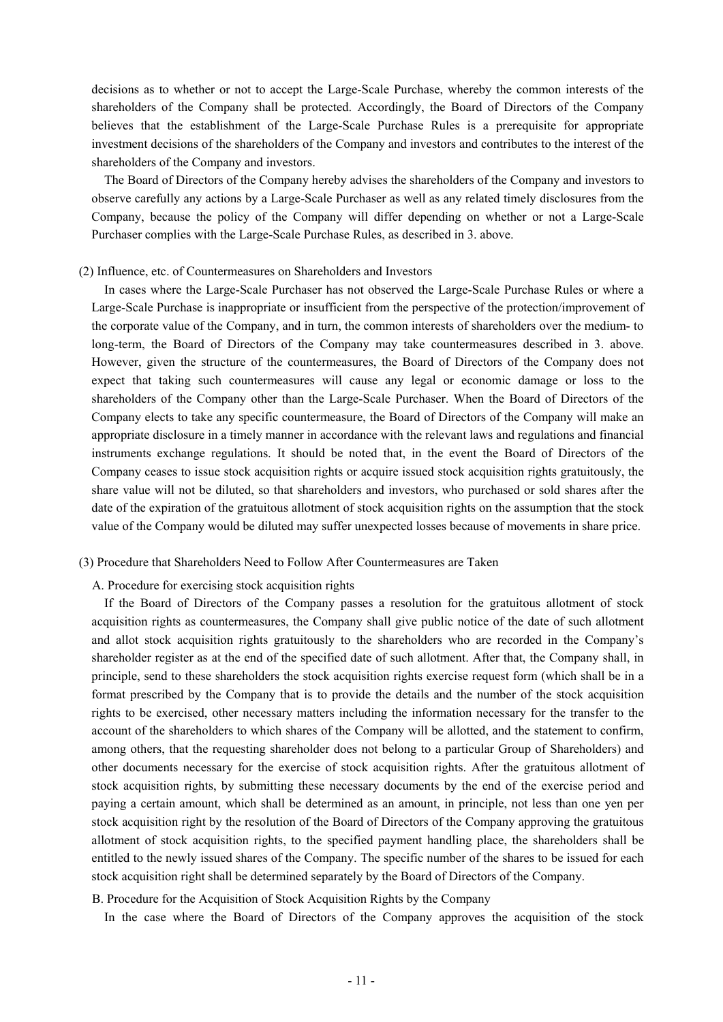decisions as to whether or not to accept the Large-Scale Purchase, whereby the common interests of the shareholders of the Company shall be protected. Accordingly, the Board of Directors of the Company believes that the establishment of the Large-Scale Purchase Rules is a prerequisite for appropriate investment decisions of the shareholders of the Company and investors and contributes to the interest of the shareholders of the Company and investors.

The Board of Directors of the Company hereby advises the shareholders of the Company and investors to observe carefully any actions by a Large-Scale Purchaser as well as any related timely disclosures from the Company, because the policy of the Company will differ depending on whether or not a Large-Scale Purchaser complies with the Large-Scale Purchase Rules, as described in 3. above.

#### (2) Influence, etc. of Countermeasures on Shareholders and Investors

In cases where the Large-Scale Purchaser has not observed the Large-Scale Purchase Rules or where a Large-Scale Purchase is inappropriate or insufficient from the perspective of the protection/improvement of the corporate value of the Company, and in turn, the common interests of shareholders over the medium- to long-term, the Board of Directors of the Company may take countermeasures described in 3. above. However, given the structure of the countermeasures, the Board of Directors of the Company does not expect that taking such countermeasures will cause any legal or economic damage or loss to the shareholders of the Company other than the Large-Scale Purchaser. When the Board of Directors of the Company elects to take any specific countermeasure, the Board of Directors of the Company will make an appropriate disclosure in a timely manner in accordance with the relevant laws and regulations and financial instruments exchange regulations. It should be noted that, in the event the Board of Directors of the Company ceases to issue stock acquisition rights or acquire issued stock acquisition rights gratuitously, the share value will not be diluted, so that shareholders and investors, who purchased or sold shares after the date of the expiration of the gratuitous allotment of stock acquisition rights on the assumption that the stock value of the Company would be diluted may suffer unexpected losses because of movements in share price.

### (3) Procedure that Shareholders Need to Follow After Countermeasures are Taken

A. Procedure for exercising stock acquisition rights

If the Board of Directors of the Company passes a resolution for the gratuitous allotment of stock acquisition rights as countermeasures, the Company shall give public notice of the date of such allotment and allot stock acquisition rights gratuitously to the shareholders who are recorded in the Company's shareholder register as at the end of the specified date of such allotment. After that, the Company shall, in principle, send to these shareholders the stock acquisition rights exercise request form (which shall be in a format prescribed by the Company that is to provide the details and the number of the stock acquisition rights to be exercised, other necessary matters including the information necessary for the transfer to the account of the shareholders to which shares of the Company will be allotted, and the statement to confirm, among others, that the requesting shareholder does not belong to a particular Group of Shareholders) and other documents necessary for the exercise of stock acquisition rights. After the gratuitous allotment of stock acquisition rights, by submitting these necessary documents by the end of the exercise period and paying a certain amount, which shall be determined as an amount, in principle, not less than one yen per stock acquisition right by the resolution of the Board of Directors of the Company approving the gratuitous allotment of stock acquisition rights, to the specified payment handling place, the shareholders shall be entitled to the newly issued shares of the Company. The specific number of the shares to be issued for each stock acquisition right shall be determined separately by the Board of Directors of the Company.

B. Procedure for the Acquisition of Stock Acquisition Rights by the Company

In the case where the Board of Directors of the Company approves the acquisition of the stock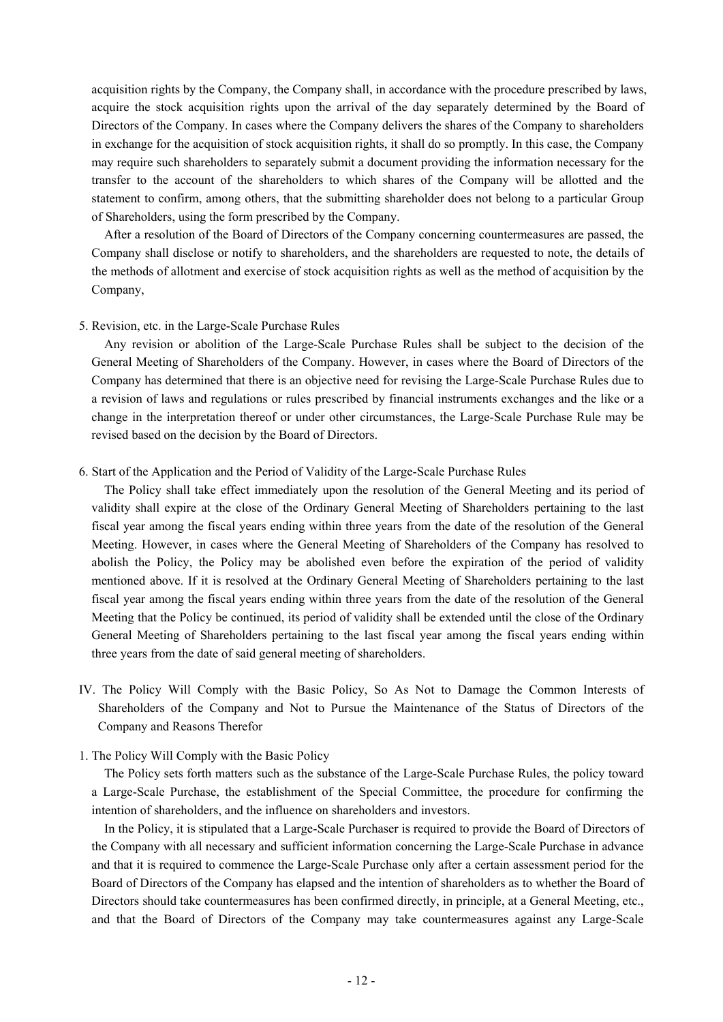acquisition rights by the Company, the Company shall, in accordance with the procedure prescribed by laws, acquire the stock acquisition rights upon the arrival of the day separately determined by the Board of Directors of the Company. In cases where the Company delivers the shares of the Company to shareholders in exchange for the acquisition of stock acquisition rights, it shall do so promptly. In this case, the Company may require such shareholders to separately submit a document providing the information necessary for the transfer to the account of the shareholders to which shares of the Company will be allotted and the statement to confirm, among others, that the submitting shareholder does not belong to a particular Group of Shareholders, using the form prescribed by the Company.

After a resolution of the Board of Directors of the Company concerning countermeasures are passed, the Company shall disclose or notify to shareholders, and the shareholders are requested to note, the details of the methods of allotment and exercise of stock acquisition rights as well as the method of acquisition by the Company,

## 5. Revision, etc. in the Large-Scale Purchase Rules

Any revision or abolition of the Large-Scale Purchase Rules shall be subject to the decision of the General Meeting of Shareholders of the Company. However, in cases where the Board of Directors of the Company has determined that there is an objective need for revising the Large-Scale Purchase Rules due to a revision of laws and regulations or rules prescribed by financial instruments exchanges and the like or a change in the interpretation thereof or under other circumstances, the Large-Scale Purchase Rule may be revised based on the decision by the Board of Directors.

# 6. Start of the Application and the Period of Validity of the Large-Scale Purchase Rules

The Policy shall take effect immediately upon the resolution of the General Meeting and its period of validity shall expire at the close of the Ordinary General Meeting of Shareholders pertaining to the last fiscal year among the fiscal years ending within three years from the date of the resolution of the General Meeting. However, in cases where the General Meeting of Shareholders of the Company has resolved to abolish the Policy, the Policy may be abolished even before the expiration of the period of validity mentioned above. If it is resolved at the Ordinary General Meeting of Shareholders pertaining to the last fiscal year among the fiscal years ending within three years from the date of the resolution of the General Meeting that the Policy be continued, its period of validity shall be extended until the close of the Ordinary General Meeting of Shareholders pertaining to the last fiscal year among the fiscal years ending within three years from the date of said general meeting of shareholders.

IV. The Policy Will Comply with the Basic Policy, So As Not to Damage the Common Interests of Shareholders of the Company and Not to Pursue the Maintenance of the Status of Directors of the Company and Reasons Therefor

# 1. The Policy Will Comply with the Basic Policy

The Policy sets forth matters such as the substance of the Large-Scale Purchase Rules, the policy toward a Large-Scale Purchase, the establishment of the Special Committee, the procedure for confirming the intention of shareholders, and the influence on shareholders and investors.

In the Policy, it is stipulated that a Large-Scale Purchaser is required to provide the Board of Directors of the Company with all necessary and sufficient information concerning the Large-Scale Purchase in advance and that it is required to commence the Large-Scale Purchase only after a certain assessment period for the Board of Directors of the Company has elapsed and the intention of shareholders as to whether the Board of Directors should take countermeasures has been confirmed directly, in principle, at a General Meeting, etc., and that the Board of Directors of the Company may take countermeasures against any Large-Scale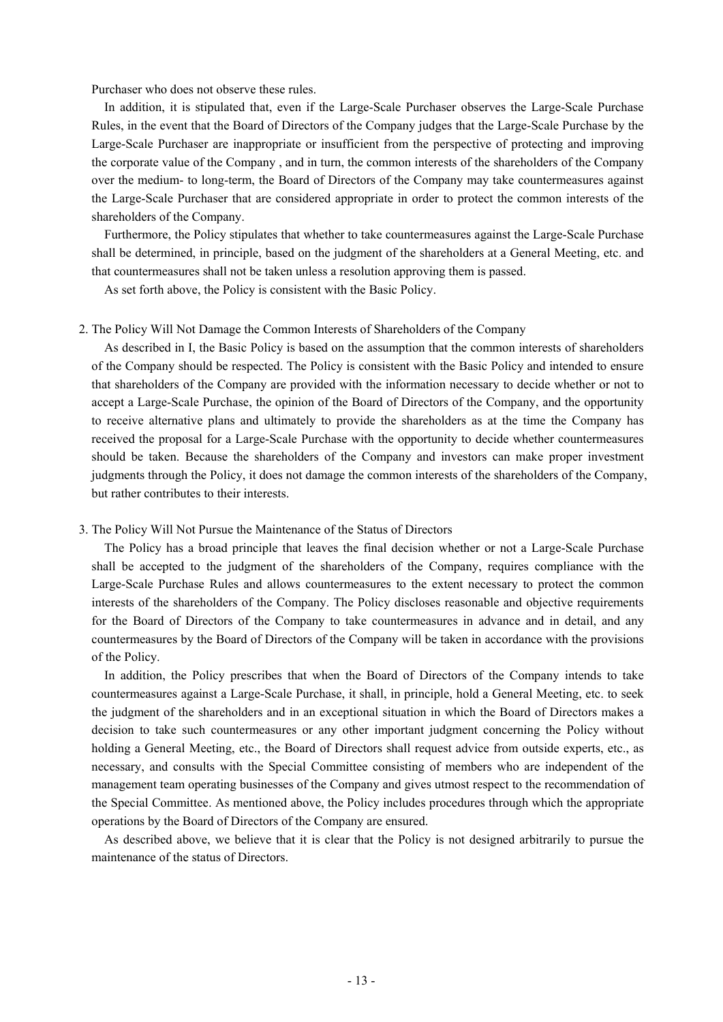Purchaser who does not observe these rules.

In addition, it is stipulated that, even if the Large-Scale Purchaser observes the Large-Scale Purchase Rules, in the event that the Board of Directors of the Company judges that the Large-Scale Purchase by the Large-Scale Purchaser are inappropriate or insufficient from the perspective of protecting and improving the corporate value of the Company , and in turn, the common interests of the shareholders of the Company over the medium- to long-term, the Board of Directors of the Company may take countermeasures against the Large-Scale Purchaser that are considered appropriate in order to protect the common interests of the shareholders of the Company.

Furthermore, the Policy stipulates that whether to take countermeasures against the Large-Scale Purchase shall be determined, in principle, based on the judgment of the shareholders at a General Meeting, etc. and that countermeasures shall not be taken unless a resolution approving them is passed.

As set forth above, the Policy is consistent with the Basic Policy.

#### 2. The Policy Will Not Damage the Common Interests of Shareholders of the Company

As described in I, the Basic Policy is based on the assumption that the common interests of shareholders of the Company should be respected. The Policy is consistent with the Basic Policy and intended to ensure that shareholders of the Company are provided with the information necessary to decide whether or not to accept a Large-Scale Purchase, the opinion of the Board of Directors of the Company, and the opportunity to receive alternative plans and ultimately to provide the shareholders as at the time the Company has received the proposal for a Large-Scale Purchase with the opportunity to decide whether countermeasures should be taken. Because the shareholders of the Company and investors can make proper investment judgments through the Policy, it does not damage the common interests of the shareholders of the Company, but rather contributes to their interests.

#### 3. The Policy Will Not Pursue the Maintenance of the Status of Directors

The Policy has a broad principle that leaves the final decision whether or not a Large-Scale Purchase shall be accepted to the judgment of the shareholders of the Company, requires compliance with the Large-Scale Purchase Rules and allows countermeasures to the extent necessary to protect the common interests of the shareholders of the Company. The Policy discloses reasonable and objective requirements for the Board of Directors of the Company to take countermeasures in advance and in detail, and any countermeasures by the Board of Directors of the Company will be taken in accordance with the provisions of the Policy.

In addition, the Policy prescribes that when the Board of Directors of the Company intends to take countermeasures against a Large-Scale Purchase, it shall, in principle, hold a General Meeting, etc. to seek the judgment of the shareholders and in an exceptional situation in which the Board of Directors makes a decision to take such countermeasures or any other important judgment concerning the Policy without holding a General Meeting, etc., the Board of Directors shall request advice from outside experts, etc., as necessary, and consults with the Special Committee consisting of members who are independent of the management team operating businesses of the Company and gives utmost respect to the recommendation of the Special Committee. As mentioned above, the Policy includes procedures through which the appropriate operations by the Board of Directors of the Company are ensured.

As described above, we believe that it is clear that the Policy is not designed arbitrarily to pursue the maintenance of the status of Directors.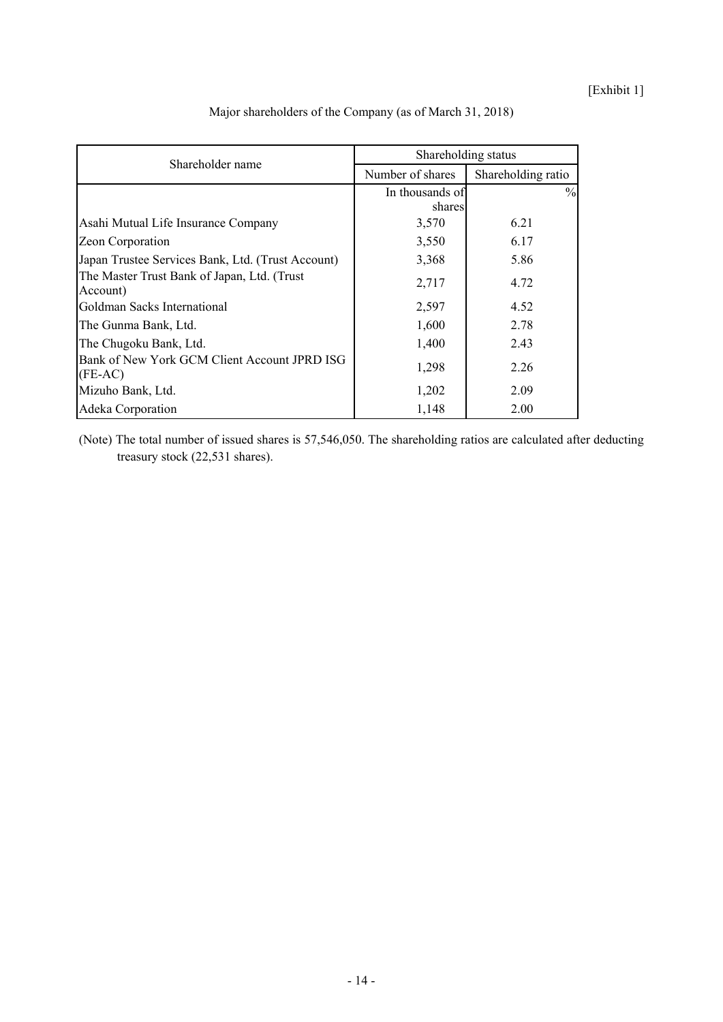[Exhibit 1]

| Shareholder name                                          | Shareholding status |                    |  |
|-----------------------------------------------------------|---------------------|--------------------|--|
|                                                           | Number of shares    | Shareholding ratio |  |
|                                                           | In thousands of     | $\%$               |  |
|                                                           | shares              |                    |  |
| Asahi Mutual Life Insurance Company                       | 3,570               | 6.21               |  |
| Zeon Corporation                                          | 3,550               | 6.17               |  |
| Japan Trustee Services Bank, Ltd. (Trust Account)         | 3,368               | 5.86               |  |
| The Master Trust Bank of Japan, Ltd. (Trust)<br>Account)  | 2,717               | 4.72               |  |
| Goldman Sacks International                               | 2,597               | 4.52               |  |
| The Gunma Bank, Ltd.                                      | 1,600               | 2.78               |  |
| The Chugoku Bank, Ltd.                                    | 1,400               | 2.43               |  |
| Bank of New York GCM Client Account JPRD ISG<br>$(FE-AC)$ | 1,298               | 2.26               |  |
| Mizuho Bank, Ltd.                                         | 1,202               | 2.09               |  |
| Adeka Corporation                                         | 1,148               | 2.00               |  |

Major shareholders of the Company (as of March 31, 2018)

(Note) The total number of issued shares is 57,546,050. The shareholding ratios are calculated after deducting treasury stock (22,531 shares).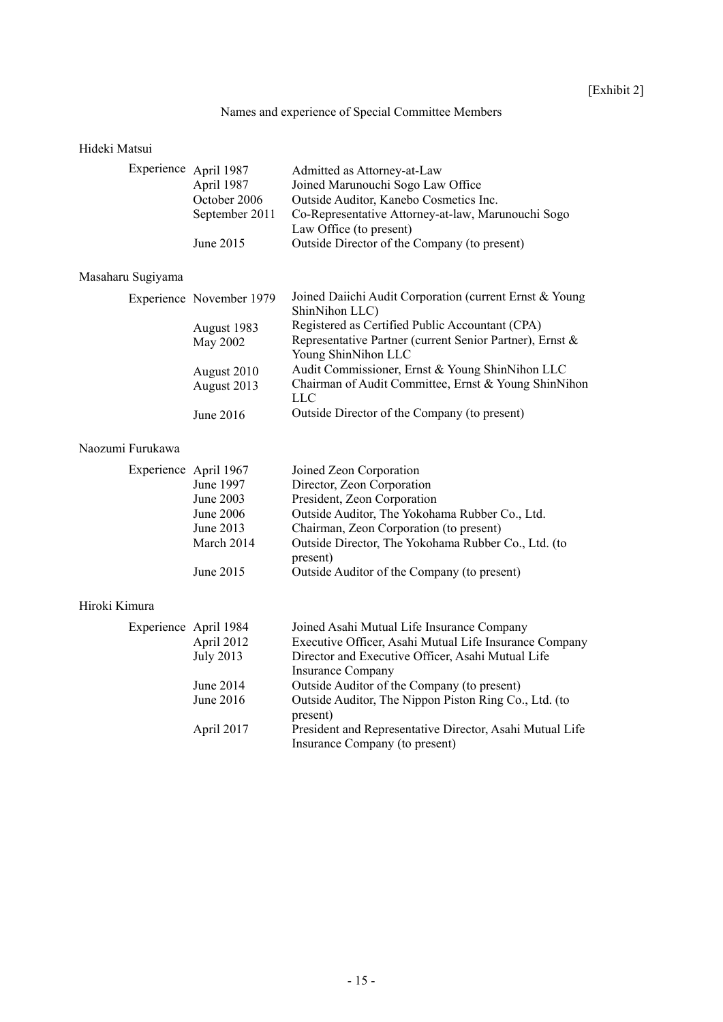# Names and experience of Special Committee Members

# Hideki Matsui

| Experience April 1987 |                | Admitted as Attorney-at-Law                        |
|-----------------------|----------------|----------------------------------------------------|
|                       | April 1987     | Joined Marunouchi Sogo Law Office                  |
|                       | October 2006   | Outside Auditor, Kanebo Cosmetics Inc.             |
|                       | September 2011 | Co-Representative Attorney-at-law, Marunouchi Sogo |
|                       |                | Law Office (to present)                            |
|                       | June 2015      | Outside Director of the Company (to present)       |
|                       |                |                                                    |

# Masaharu Sugiyama

|             | Joined Daiichi Audit Corporation (current Ernst & Young  |
|-------------|----------------------------------------------------------|
|             | ShinNihon LLC)                                           |
| August 1983 | Registered as Certified Public Accountant (CPA)          |
| May 2002    | Representative Partner (current Senior Partner), Ernst & |
|             | Young ShinNihon LLC                                      |
| August 2010 | Audit Commissioner, Ernst & Young ShinNihon LLC          |
| August 2013 | Chairman of Audit Committee, Ernst & Young ShinNihon     |
|             | LLC                                                      |
| June $2016$ | Outside Director of the Company (to present)             |
|             | Experience November 1979                                 |

# Naozumi Furukawa

| Experience April 1967 | Joined Zeon Corporation                             |
|-----------------------|-----------------------------------------------------|
| June 1997             | Director, Zeon Corporation                          |
| June 2003             | President, Zeon Corporation                         |
| June $2006$           | Outside Auditor, The Yokohama Rubber Co., Ltd.      |
| June 2013             | Chairman, Zeon Corporation (to present)             |
| March 2014            | Outside Director, The Yokohama Rubber Co., Ltd. (to |
|                       | present)                                            |
| June 2015             | Outside Auditor of the Company (to present)         |

# Hiroki Kimura

| Experience April 1984 |                          | Joined Asahi Mutual Life Insurance Company               |
|-----------------------|--------------------------|----------------------------------------------------------|
| April 2012            |                          | Executive Officer, Asahi Mutual Life Insurance Company   |
| <b>July 2013</b>      |                          | Director and Executive Officer, Asahi Mutual Life        |
|                       | <b>Insurance Company</b> |                                                          |
| June 2014             |                          | Outside Auditor of the Company (to present)              |
| June $2016$           | present)                 | Outside Auditor, The Nippon Piston Ring Co., Ltd. (to    |
| April 2017            |                          | President and Representative Director, Asahi Mutual Life |
|                       |                          | Insurance Company (to present)                           |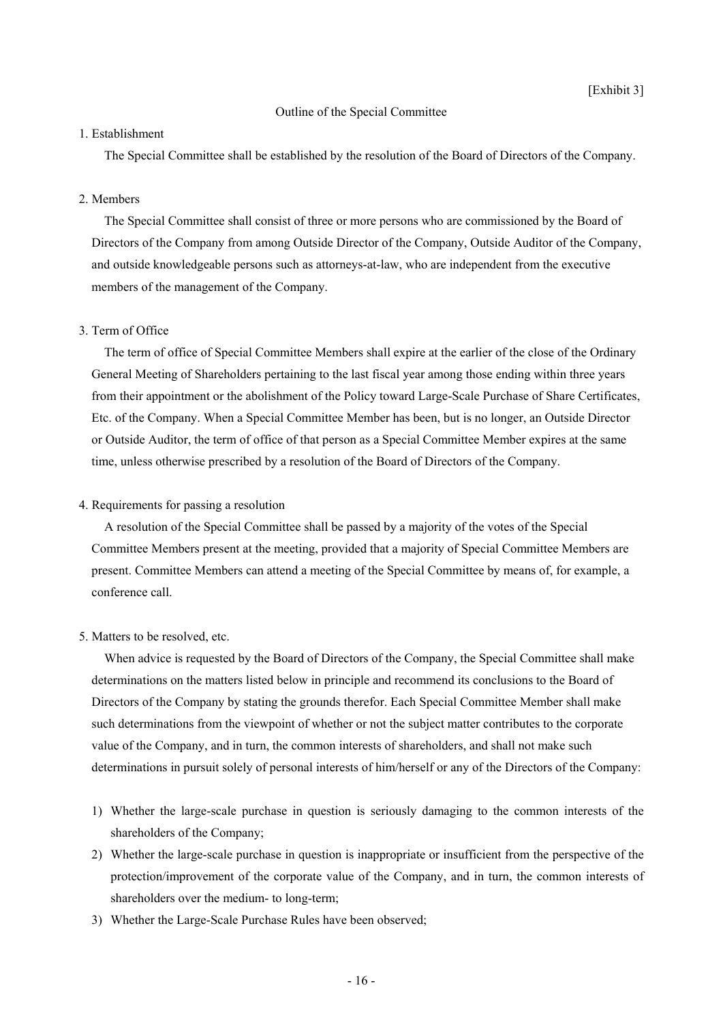### Outline of the Special Committee

### 1. Establishment

The Special Committee shall be established by the resolution of the Board of Directors of the Company.

### 2. Members

The Special Committee shall consist of three or more persons who are commissioned by the Board of Directors of the Company from among Outside Director of the Company, Outside Auditor of the Company, and outside knowledgeable persons such as attorneys-at-law, who are independent from the executive members of the management of the Company.

### 3. Term of Office

The term of office of Special Committee Members shall expire at the earlier of the close of the Ordinary General Meeting of Shareholders pertaining to the last fiscal year among those ending within three years from their appointment or the abolishment of the Policy toward Large-Scale Purchase of Share Certificates, Etc. of the Company. When a Special Committee Member has been, but is no longer, an Outside Director or Outside Auditor, the term of office of that person as a Special Committee Member expires at the same time, unless otherwise prescribed by a resolution of the Board of Directors of the Company.

### 4. Requirements for passing a resolution

A resolution of the Special Committee shall be passed by a majority of the votes of the Special Committee Members present at the meeting, provided that a majority of Special Committee Members are present. Committee Members can attend a meeting of the Special Committee by means of, for example, a conference call.

### 5. Matters to be resolved, etc.

When advice is requested by the Board of Directors of the Company, the Special Committee shall make determinations on the matters listed below in principle and recommend its conclusions to the Board of Directors of the Company by stating the grounds therefor. Each Special Committee Member shall make such determinations from the viewpoint of whether or not the subject matter contributes to the corporate value of the Company, and in turn, the common interests of shareholders, and shall not make such determinations in pursuit solely of personal interests of him/herself or any of the Directors of the Company:

- 1) Whether the large-scale purchase in question is seriously damaging to the common interests of the shareholders of the Company;
- 2) Whether the large-scale purchase in question is inappropriate or insufficient from the perspective of the protection/improvement of the corporate value of the Company, and in turn, the common interests of shareholders over the medium- to long-term;
- 3) Whether the Large-Scale Purchase Rules have been observed;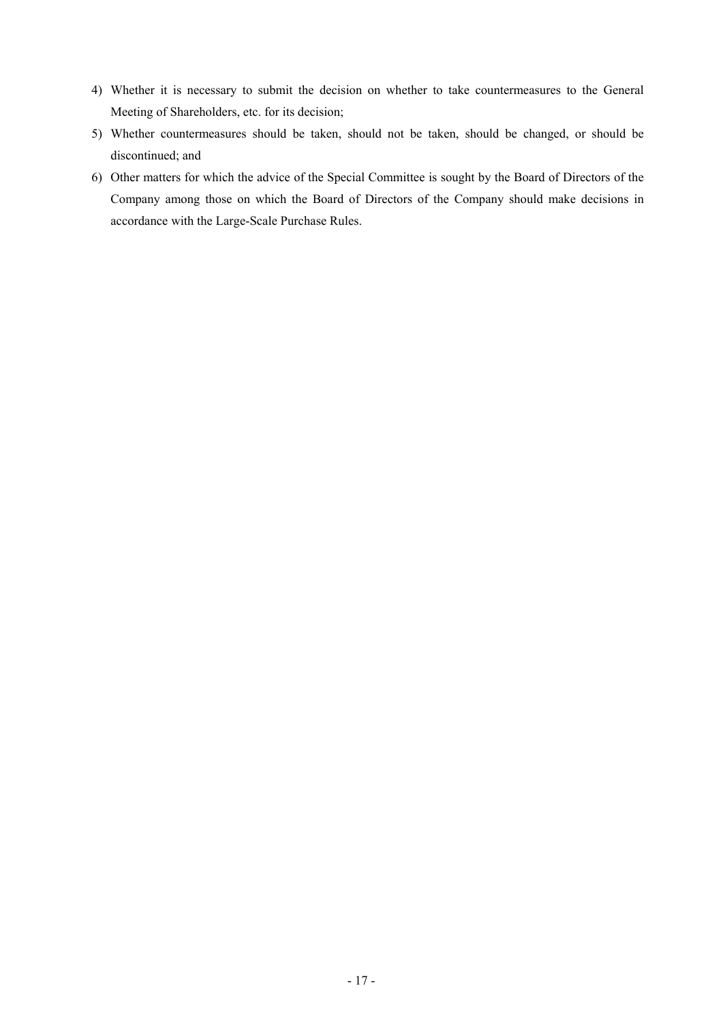- 4) Whether it is necessary to submit the decision on whether to take countermeasures to the General Meeting of Shareholders, etc. for its decision;
- 5) Whether countermeasures should be taken, should not be taken, should be changed, or should be discontinued; and
- 6) Other matters for which the advice of the Special Committee is sought by the Board of Directors of the Company among those on which the Board of Directors of the Company should make decisions in accordance with the Large-Scale Purchase Rules.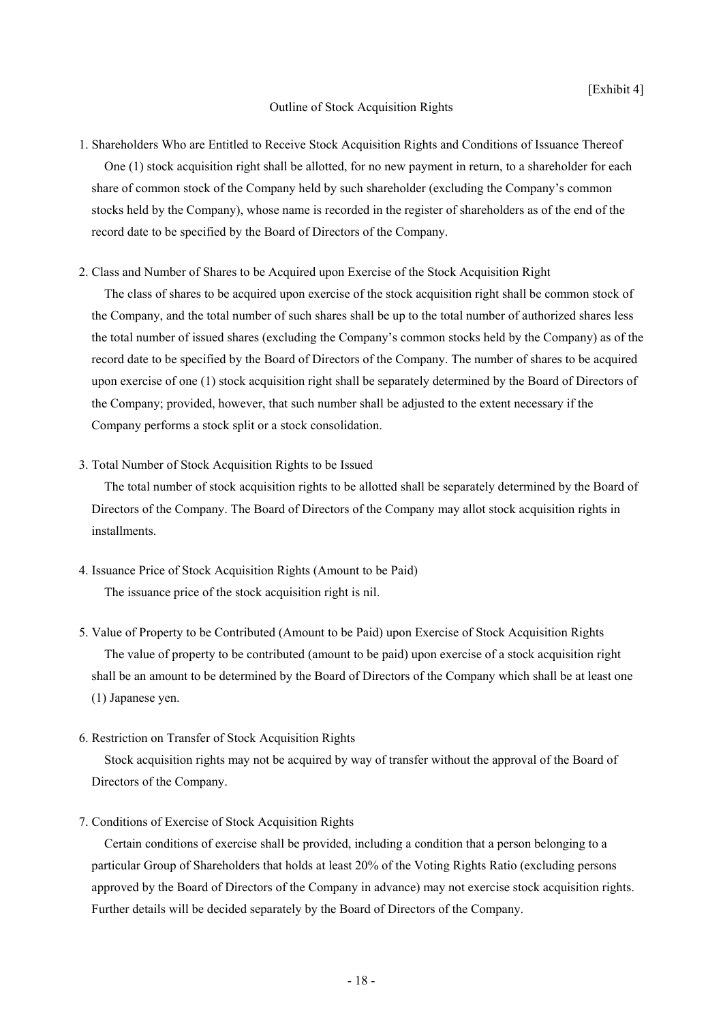## Outline of Stock Acquisition Rights

- 1. Shareholders Who are Entitled to Receive Stock Acquisition Rights and Conditions of Issuance Thereof One (1) stock acquisition right shall be allotted, for no new payment in return, to a shareholder for each share of common stock of the Company held by such shareholder (excluding the Company's common stocks held by the Company), whose name is recorded in the register of shareholders as of the end of the record date to be specified by the Board of Directors of the Company.
- 2. Class and Number of Shares to be Acquired upon Exercise of the Stock Acquisition Right

The class of shares to be acquired upon exercise of the stock acquisition right shall be common stock of the Company, and the total number of such shares shall be up to the total number of authorized shares less the total number of issued shares (excluding the Company's common stocks held by the Company) as of the record date to be specified by the Board of Directors of the Company. The number of shares to be acquired upon exercise of one (1) stock acquisition right shall be separately determined by the Board of Directors of the Company; provided, however, that such number shall be adjusted to the extent necessary if the Company performs a stock split or a stock consolidation.

3. Total Number of Stock Acquisition Rights to be Issued

The total number of stock acquisition rights to be allotted shall be separately determined by the Board of Directors of the Company. The Board of Directors of the Company may allot stock acquisition rights in installments.

- 4. Issuance Price of Stock Acquisition Rights (Amount to be Paid) The issuance price of the stock acquisition right is nil.
- 5. Value of Property to be Contributed (Amount to be Paid) upon Exercise of Stock Acquisition Rights The value of property to be contributed (amount to be paid) upon exercise of a stock acquisition right shall be an amount to be determined by the Board of Directors of the Company which shall be at least one (1) Japanese yen.
- 6. Restriction on Transfer of Stock Acquisition Rights

Stock acquisition rights may not be acquired by way of transfer without the approval of the Board of Directors of the Company.

7. Conditions of Exercise of Stock Acquisition Rights

Certain conditions of exercise shall be provided, including a condition that a person belonging to a particular Group of Shareholders that holds at least 20% of the Voting Rights Ratio (excluding persons approved by the Board of Directors of the Company in advance) may not exercise stock acquisition rights. Further details will be decided separately by the Board of Directors of the Company.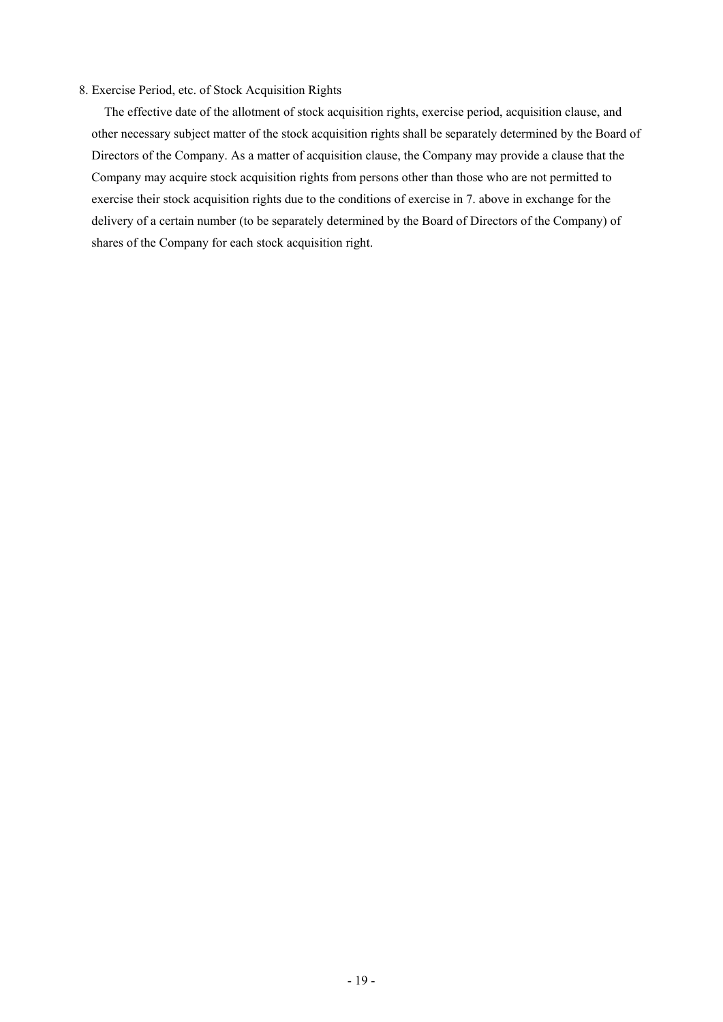# 8. Exercise Period, etc. of Stock Acquisition Rights

The effective date of the allotment of stock acquisition rights, exercise period, acquisition clause, and other necessary subject matter of the stock acquisition rights shall be separately determined by the Board of Directors of the Company. As a matter of acquisition clause, the Company may provide a clause that the Company may acquire stock acquisition rights from persons other than those who are not permitted to exercise their stock acquisition rights due to the conditions of exercise in 7. above in exchange for the delivery of a certain number (to be separately determined by the Board of Directors of the Company) of shares of the Company for each stock acquisition right.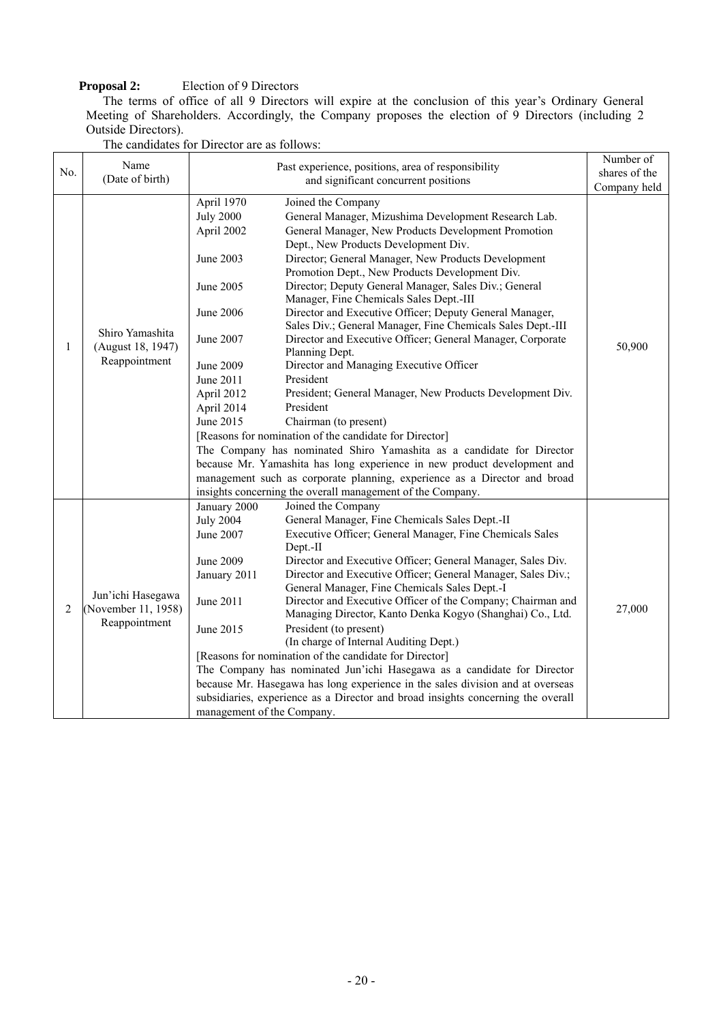# **Proposal 2:** Election of 9 Directors

The terms of office of all 9 Directors will expire at the conclusion of this year's Ordinary General Meeting of Shareholders. Accordingly, the Company proposes the election of 9 Directors (including 2 Outside Directors).

| No.            | Name<br>(Date of birth)                                   |                                                                                                                                                                            | Past experience, positions, area of responsibility<br>and significant concurrent positions                                                                                                                                                                                                                                                                                                                                                                                                                                                                                                                                                                                                                                                                                                                                                                                                                                                                                                                                                                                                                            | Number of<br>shares of the<br>Company held |
|----------------|-----------------------------------------------------------|----------------------------------------------------------------------------------------------------------------------------------------------------------------------------|-----------------------------------------------------------------------------------------------------------------------------------------------------------------------------------------------------------------------------------------------------------------------------------------------------------------------------------------------------------------------------------------------------------------------------------------------------------------------------------------------------------------------------------------------------------------------------------------------------------------------------------------------------------------------------------------------------------------------------------------------------------------------------------------------------------------------------------------------------------------------------------------------------------------------------------------------------------------------------------------------------------------------------------------------------------------------------------------------------------------------|--------------------------------------------|
| 1              | Shiro Yamashita<br>(August 18, 1947)<br>Reappointment     | April 1970<br><b>July 2000</b><br>April 2002<br>June 2003<br>June 2005<br>June 2006<br>June 2007<br><b>June 2009</b><br>June 2011<br>April 2012<br>April 2014<br>June 2015 | Joined the Company<br>General Manager, Mizushima Development Research Lab.<br>General Manager, New Products Development Promotion<br>Dept., New Products Development Div.<br>Director; General Manager, New Products Development<br>Promotion Dept., New Products Development Div.<br>Director; Deputy General Manager, Sales Div.; General<br>Manager, Fine Chemicals Sales Dept.-III<br>Director and Executive Officer; Deputy General Manager,<br>Sales Div.; General Manager, Fine Chemicals Sales Dept.-III<br>Director and Executive Officer; General Manager, Corporate<br>Planning Dept.<br>Director and Managing Executive Officer<br>President<br>President; General Manager, New Products Development Div.<br>President<br>Chairman (to present)<br>[Reasons for nomination of the candidate for Director]<br>The Company has nominated Shiro Yamashita as a candidate for Director<br>because Mr. Yamashita has long experience in new product development and<br>management such as corporate planning, experience as a Director and broad<br>insights concerning the overall management of the Company. | 50,900                                     |
| $\overline{2}$ | Jun'ichi Hasegawa<br>(November 11, 1958)<br>Reappointment | January 2000<br><b>July 2004</b><br>June 2007<br><b>June 2009</b><br>January 2011<br>June 2011<br>June 2015<br>management of the Company.                                  | Joined the Company<br>General Manager, Fine Chemicals Sales Dept.-II<br>Executive Officer; General Manager, Fine Chemicals Sales<br>Dept.-II<br>Director and Executive Officer; General Manager, Sales Div.<br>Director and Executive Officer; General Manager, Sales Div.;<br>General Manager, Fine Chemicals Sales Dept.-I<br>Director and Executive Officer of the Company; Chairman and<br>Managing Director, Kanto Denka Kogyo (Shanghai) Co., Ltd.<br>President (to present)<br>(In charge of Internal Auditing Dept.)<br>[Reasons for nomination of the candidate for Director]<br>The Company has nominated Jun'ichi Hasegawa as a candidate for Director<br>because Mr. Hasegawa has long experience in the sales division and at overseas<br>subsidiaries, experience as a Director and broad insights concerning the overall                                                                                                                                                                                                                                                                               | 27,000                                     |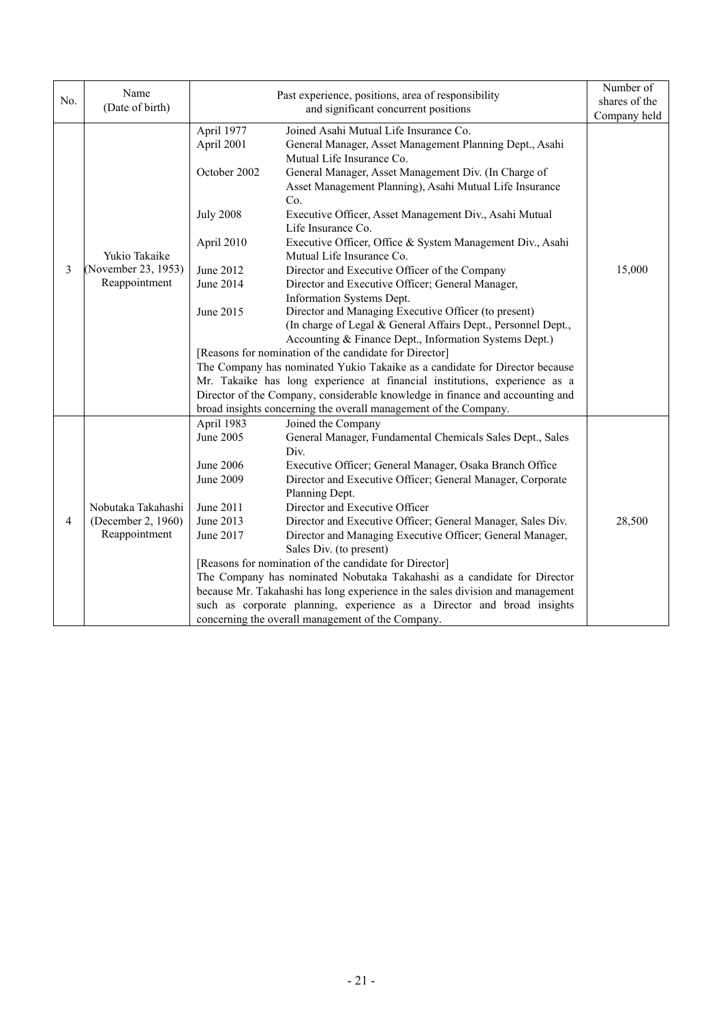|     | Name                                                  |                                                                                                                   | Past experience, positions, area of responsibility                                                                                                                                                                                                                                                                                                                                                                                                                                                                                                                                                                                                                                                                                                                                                                | Number of     |
|-----|-------------------------------------------------------|-------------------------------------------------------------------------------------------------------------------|-------------------------------------------------------------------------------------------------------------------------------------------------------------------------------------------------------------------------------------------------------------------------------------------------------------------------------------------------------------------------------------------------------------------------------------------------------------------------------------------------------------------------------------------------------------------------------------------------------------------------------------------------------------------------------------------------------------------------------------------------------------------------------------------------------------------|---------------|
| No. | (Date of birth)                                       | and significant concurrent positions                                                                              |                                                                                                                                                                                                                                                                                                                                                                                                                                                                                                                                                                                                                                                                                                                                                                                                                   | shares of the |
|     |                                                       |                                                                                                                   |                                                                                                                                                                                                                                                                                                                                                                                                                                                                                                                                                                                                                                                                                                                                                                                                                   | Company held  |
| 3   | Yukio Takaike<br>(November 23, 1953)<br>Reappointment | April 1977<br>April 2001<br>October 2002<br><b>July 2008</b><br>April 2010<br>June 2012<br>June 2014<br>June 2015 | Joined Asahi Mutual Life Insurance Co.<br>General Manager, Asset Management Planning Dept., Asahi<br>Mutual Life Insurance Co.<br>General Manager, Asset Management Div. (In Charge of<br>Asset Management Planning), Asahi Mutual Life Insurance<br>Co.<br>Executive Officer, Asset Management Div., Asahi Mutual<br>Life Insurance Co.<br>Executive Officer, Office & System Management Div., Asahi<br>Mutual Life Insurance Co.<br>Director and Executive Officer of the Company<br>Director and Executive Officer; General Manager,<br>Information Systems Dept.<br>Director and Managing Executive Officer (to present)<br>(In charge of Legal & General Affairs Dept., Personnel Dept.,<br>Accounting & Finance Dept., Information Systems Dept.)<br>[Reasons for nomination of the candidate for Director] | 15,000        |
|     |                                                       |                                                                                                                   | The Company has nominated Yukio Takaike as a candidate for Director because<br>Mr. Takaike has long experience at financial institutions, experience as a<br>Director of the Company, considerable knowledge in finance and accounting and<br>broad insights concerning the overall management of the Company.                                                                                                                                                                                                                                                                                                                                                                                                                                                                                                    |               |
|     |                                                       | April 1983                                                                                                        | Joined the Company                                                                                                                                                                                                                                                                                                                                                                                                                                                                                                                                                                                                                                                                                                                                                                                                |               |
|     |                                                       | June 2005                                                                                                         | General Manager, Fundamental Chemicals Sales Dept., Sales                                                                                                                                                                                                                                                                                                                                                                                                                                                                                                                                                                                                                                                                                                                                                         |               |
|     |                                                       |                                                                                                                   | Div.                                                                                                                                                                                                                                                                                                                                                                                                                                                                                                                                                                                                                                                                                                                                                                                                              |               |
|     |                                                       | June 2006                                                                                                         | Executive Officer; General Manager, Osaka Branch Office                                                                                                                                                                                                                                                                                                                                                                                                                                                                                                                                                                                                                                                                                                                                                           |               |
|     |                                                       | June 2009                                                                                                         | Director and Executive Officer; General Manager, Corporate<br>Planning Dept.                                                                                                                                                                                                                                                                                                                                                                                                                                                                                                                                                                                                                                                                                                                                      |               |
|     | Nobutaka Takahashi                                    | June 2011                                                                                                         | Director and Executive Officer                                                                                                                                                                                                                                                                                                                                                                                                                                                                                                                                                                                                                                                                                                                                                                                    |               |
| 4   | (December 2, 1960)                                    | June 2013                                                                                                         | Director and Executive Officer; General Manager, Sales Div.                                                                                                                                                                                                                                                                                                                                                                                                                                                                                                                                                                                                                                                                                                                                                       | 28,500        |
|     | Reappointment                                         | June 2017                                                                                                         | Director and Managing Executive Officer; General Manager,                                                                                                                                                                                                                                                                                                                                                                                                                                                                                                                                                                                                                                                                                                                                                         |               |
|     |                                                       |                                                                                                                   | Sales Div. (to present)                                                                                                                                                                                                                                                                                                                                                                                                                                                                                                                                                                                                                                                                                                                                                                                           |               |
|     |                                                       |                                                                                                                   | [Reasons for nomination of the candidate for Director]                                                                                                                                                                                                                                                                                                                                                                                                                                                                                                                                                                                                                                                                                                                                                            |               |
|     |                                                       |                                                                                                                   | The Company has nominated Nobutaka Takahashi as a candidate for Director                                                                                                                                                                                                                                                                                                                                                                                                                                                                                                                                                                                                                                                                                                                                          |               |
|     |                                                       |                                                                                                                   | because Mr. Takahashi has long experience in the sales division and management                                                                                                                                                                                                                                                                                                                                                                                                                                                                                                                                                                                                                                                                                                                                    |               |
|     |                                                       |                                                                                                                   | such as corporate planning, experience as a Director and broad insights<br>concerning the overall management of the Company.                                                                                                                                                                                                                                                                                                                                                                                                                                                                                                                                                                                                                                                                                      |               |
|     |                                                       |                                                                                                                   |                                                                                                                                                                                                                                                                                                                                                                                                                                                                                                                                                                                                                                                                                                                                                                                                                   |               |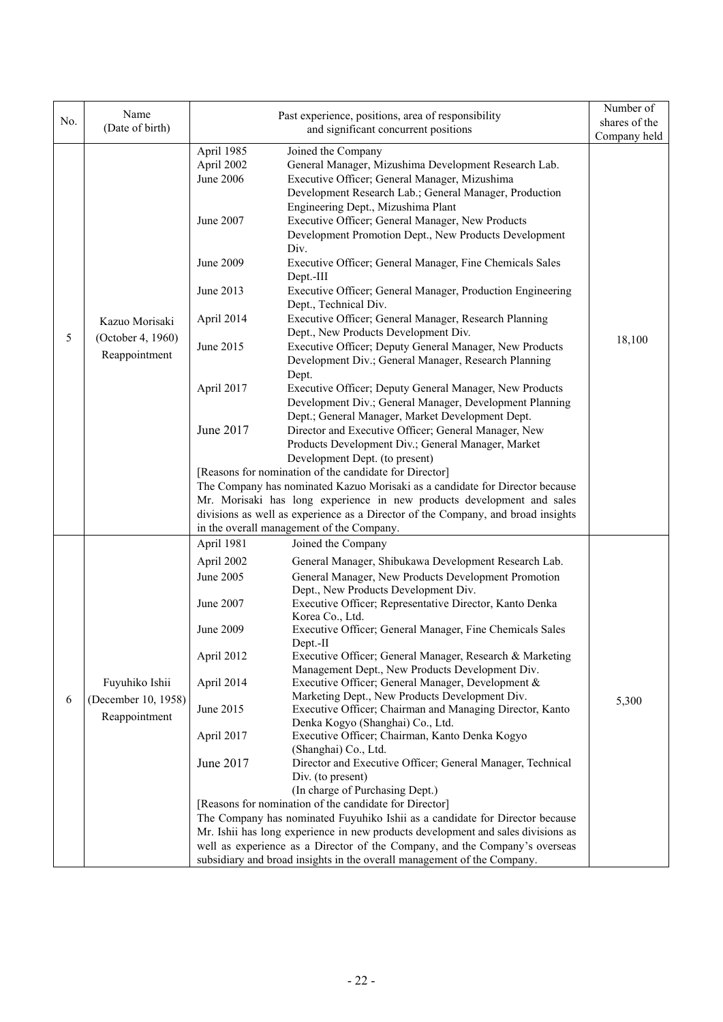|     | Name                                 |                                                           |                                                                                                                                                                                                                                                                                                                                          | Number of     |
|-----|--------------------------------------|-----------------------------------------------------------|------------------------------------------------------------------------------------------------------------------------------------------------------------------------------------------------------------------------------------------------------------------------------------------------------------------------------------------|---------------|
| No. | (Date of birth)                      |                                                           | Past experience, positions, area of responsibility                                                                                                                                                                                                                                                                                       | shares of the |
|     |                                      |                                                           | and significant concurrent positions                                                                                                                                                                                                                                                                                                     | Company held  |
|     |                                      | April 1985<br>April 2002<br><b>June 2006</b><br>June 2007 | Joined the Company<br>General Manager, Mizushima Development Research Lab.<br>Executive Officer; General Manager, Mizushima<br>Development Research Lab.; General Manager, Production<br>Engineering Dept., Mizushima Plant<br>Executive Officer; General Manager, New Products<br>Development Promotion Dept., New Products Development |               |
|     |                                      | June 2009<br>June 2013                                    | Div.<br>Executive Officer; General Manager, Fine Chemicals Sales<br>Dept.-III<br>Executive Officer; General Manager, Production Engineering                                                                                                                                                                                              |               |
|     |                                      |                                                           | Dept., Technical Div.                                                                                                                                                                                                                                                                                                                    |               |
|     | Kazuo Morisaki                       | April 2014                                                | Executive Officer; General Manager, Research Planning<br>Dept., New Products Development Div.                                                                                                                                                                                                                                            |               |
| 5   | (October 4, 1960)<br>Reappointment   | June 2015                                                 | Executive Officer; Deputy General Manager, New Products<br>Development Div.; General Manager, Research Planning<br>Dept.                                                                                                                                                                                                                 | 18,100        |
|     |                                      | April 2017                                                | Executive Officer; Deputy General Manager, New Products<br>Development Div.; General Manager, Development Planning<br>Dept.; General Manager, Market Development Dept.                                                                                                                                                                   |               |
|     |                                      | June 2017                                                 | Director and Executive Officer; General Manager, New<br>Products Development Div.; General Manager, Market<br>Development Dept. (to present)                                                                                                                                                                                             |               |
|     |                                      |                                                           | [Reasons for nomination of the candidate for Director]                                                                                                                                                                                                                                                                                   |               |
|     |                                      |                                                           | The Company has nominated Kazuo Morisaki as a candidate for Director because                                                                                                                                                                                                                                                             |               |
|     |                                      |                                                           | Mr. Morisaki has long experience in new products development and sales                                                                                                                                                                                                                                                                   |               |
|     |                                      |                                                           | divisions as well as experience as a Director of the Company, and broad insights                                                                                                                                                                                                                                                         |               |
|     |                                      |                                                           | in the overall management of the Company.                                                                                                                                                                                                                                                                                                |               |
|     |                                      | April 1981                                                | Joined the Company                                                                                                                                                                                                                                                                                                                       |               |
|     |                                      | April 2002                                                | General Manager, Shibukawa Development Research Lab.                                                                                                                                                                                                                                                                                     |               |
|     |                                      | June 2005                                                 | General Manager, New Products Development Promotion<br>Dept., New Products Development Div.                                                                                                                                                                                                                                              |               |
|     | Fuyuhiko Ishii                       | June 2007                                                 | Executive Officer; Representative Director, Kanto Denka<br>Korea Co., Ltd.                                                                                                                                                                                                                                                               |               |
|     |                                      | June 2009                                                 | Executive Officer; General Manager, Fine Chemicals Sales<br>$Dept.-II$                                                                                                                                                                                                                                                                   |               |
|     |                                      | April 2012                                                | Executive Officer; General Manager, Research & Marketing<br>Management Dept., New Products Development Div.                                                                                                                                                                                                                              |               |
|     |                                      | April 2014                                                | Executive Officer; General Manager, Development &<br>Marketing Dept., New Products Development Div.                                                                                                                                                                                                                                      |               |
| 6   | (December 10, 1958)<br>Reappointment | June 2015                                                 | Executive Officer; Chairman and Managing Director, Kanto<br>Denka Kogyo (Shanghai) Co., Ltd.                                                                                                                                                                                                                                             | 5,300         |
|     |                                      | April 2017                                                | Executive Officer; Chairman, Kanto Denka Kogyo<br>(Shanghai) Co., Ltd.                                                                                                                                                                                                                                                                   |               |
|     |                                      | June 2017                                                 | Director and Executive Officer; General Manager, Technical<br>Div. (to present)                                                                                                                                                                                                                                                          |               |
|     |                                      |                                                           | (In charge of Purchasing Dept.)                                                                                                                                                                                                                                                                                                          |               |
|     |                                      |                                                           | [Reasons for nomination of the candidate for Director]                                                                                                                                                                                                                                                                                   |               |
|     |                                      |                                                           | The Company has nominated Fuyuhiko Ishii as a candidate for Director because                                                                                                                                                                                                                                                             |               |
|     |                                      |                                                           | Mr. Ishii has long experience in new products development and sales divisions as                                                                                                                                                                                                                                                         |               |
|     |                                      |                                                           | well as experience as a Director of the Company, and the Company's overseas                                                                                                                                                                                                                                                              |               |
|     |                                      |                                                           | subsidiary and broad insights in the overall management of the Company.                                                                                                                                                                                                                                                                  |               |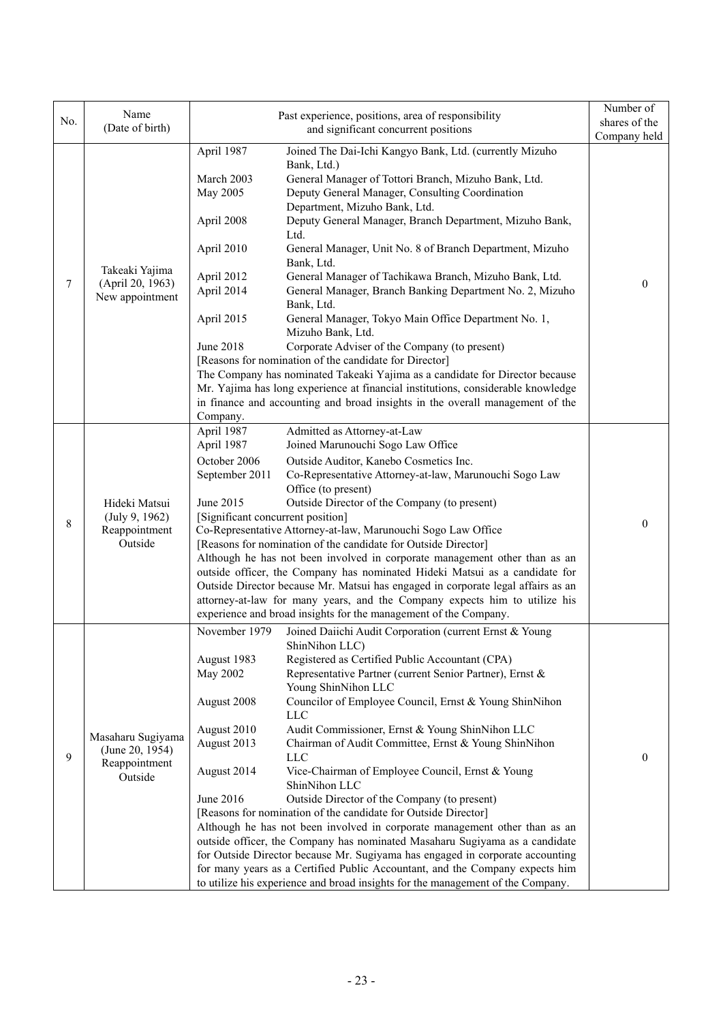| No. | Name<br>(Date of birth)                                          |                                   | Past experience, positions, area of responsibility                                                                                                                | Number of<br>shares of the |
|-----|------------------------------------------------------------------|-----------------------------------|-------------------------------------------------------------------------------------------------------------------------------------------------------------------|----------------------------|
|     |                                                                  |                                   | and significant concurrent positions                                                                                                                              | Company held               |
|     |                                                                  | April 1987                        | Joined The Dai-Ichi Kangyo Bank, Ltd. (currently Mizuho<br>Bank, Ltd.)                                                                                            |                            |
|     |                                                                  | March 2003                        | General Manager of Tottori Branch, Mizuho Bank, Ltd.                                                                                                              |                            |
|     |                                                                  | May 2005                          | Deputy General Manager, Consulting Coordination                                                                                                                   |                            |
|     |                                                                  |                                   | Department, Mizuho Bank, Ltd.                                                                                                                                     |                            |
|     |                                                                  | April 2008                        | Deputy General Manager, Branch Department, Mizuho Bank,<br>Ltd.                                                                                                   |                            |
|     |                                                                  | April 2010                        | General Manager, Unit No. 8 of Branch Department, Mizuho<br>Bank, Ltd.                                                                                            |                            |
|     | Takeaki Yajima                                                   | April 2012                        | General Manager of Tachikawa Branch, Mizuho Bank, Ltd.                                                                                                            |                            |
| 7   | (April 20, 1963)<br>New appointment                              | April 2014                        | General Manager, Branch Banking Department No. 2, Mizuho                                                                                                          | $\theta$                   |
|     |                                                                  |                                   | Bank, Ltd.                                                                                                                                                        |                            |
|     |                                                                  | April 2015                        | General Manager, Tokyo Main Office Department No. 1,<br>Mizuho Bank, Ltd.                                                                                         |                            |
|     |                                                                  | <b>June 2018</b>                  | Corporate Adviser of the Company (to present)                                                                                                                     |                            |
|     |                                                                  |                                   | [Reasons for nomination of the candidate for Director]                                                                                                            |                            |
|     |                                                                  |                                   | The Company has nominated Takeaki Yajima as a candidate for Director because                                                                                      |                            |
|     |                                                                  |                                   | Mr. Yajima has long experience at financial institutions, considerable knowledge<br>in finance and accounting and broad insights in the overall management of the |                            |
|     |                                                                  | Company.                          |                                                                                                                                                                   |                            |
|     |                                                                  | April 1987                        | Admitted as Attorney-at-Law                                                                                                                                       |                            |
|     | Hideki Matsui<br>(July 9, 1962)<br>Reappointment<br>Outside      | April 1987                        | Joined Marunouchi Sogo Law Office                                                                                                                                 |                            |
|     |                                                                  | October 2006                      | Outside Auditor, Kanebo Cosmetics Inc.                                                                                                                            |                            |
|     |                                                                  | September 2011                    | Co-Representative Attorney-at-law, Marunouchi Sogo Law                                                                                                            |                            |
|     |                                                                  |                                   | Office (to present)                                                                                                                                               |                            |
|     |                                                                  | June 2015                         | Outside Director of the Company (to present)                                                                                                                      |                            |
| 8   |                                                                  | [Significant concurrent position] | Co-Representative Attorney-at-law, Marunouchi Sogo Law Office                                                                                                     | $\theta$                   |
|     |                                                                  |                                   | [Reasons for nomination of the candidate for Outside Director]                                                                                                    |                            |
|     |                                                                  |                                   | Although he has not been involved in corporate management other than as an                                                                                        |                            |
|     |                                                                  |                                   | outside officer, the Company has nominated Hideki Matsui as a candidate for                                                                                       |                            |
|     |                                                                  |                                   | Outside Director because Mr. Matsui has engaged in corporate legal affairs as an                                                                                  |                            |
|     |                                                                  |                                   | attorney-at-law for many years, and the Company expects him to utilize his                                                                                        |                            |
|     |                                                                  |                                   | experience and broad insights for the management of the Company.                                                                                                  |                            |
|     |                                                                  | November 1979                     | Joined Daiichi Audit Corporation (current Ernst & Young<br>ShinNihon LLC)                                                                                         |                            |
|     | Masaharu Sugiyama<br>(June 20, 1954)<br>Reappointment<br>Outside | August 1983                       | Registered as Certified Public Accountant (CPA)                                                                                                                   |                            |
|     |                                                                  | May 2002                          | Representative Partner (current Senior Partner), Ernst &<br>Young ShinNihon LLC                                                                                   |                            |
|     |                                                                  | August 2008                       | Councilor of Employee Council, Ernst & Young ShinNihon<br><b>LLC</b>                                                                                              |                            |
|     |                                                                  | August 2010                       | Audit Commissioner, Ernst & Young ShinNihon LLC                                                                                                                   |                            |
|     |                                                                  | August 2013                       | Chairman of Audit Committee, Ernst & Young ShinNihon                                                                                                              |                            |
| 9   |                                                                  | August 2014                       | <b>LLC</b><br>Vice-Chairman of Employee Council, Ernst & Young                                                                                                    | $\overline{0}$             |
|     |                                                                  |                                   | ShinNihon LLC                                                                                                                                                     |                            |
|     |                                                                  | June 2016                         | Outside Director of the Company (to present)                                                                                                                      |                            |
|     |                                                                  |                                   | [Reasons for nomination of the candidate for Outside Director]                                                                                                    |                            |
|     |                                                                  |                                   | Although he has not been involved in corporate management other than as an<br>outside officer, the Company has nominated Masaharu Sugiyama as a candidate         |                            |
|     |                                                                  |                                   | for Outside Director because Mr. Sugiyama has engaged in corporate accounting                                                                                     |                            |
|     |                                                                  |                                   | for many years as a Certified Public Accountant, and the Company expects him                                                                                      |                            |
|     |                                                                  |                                   | to utilize his experience and broad insights for the management of the Company.                                                                                   |                            |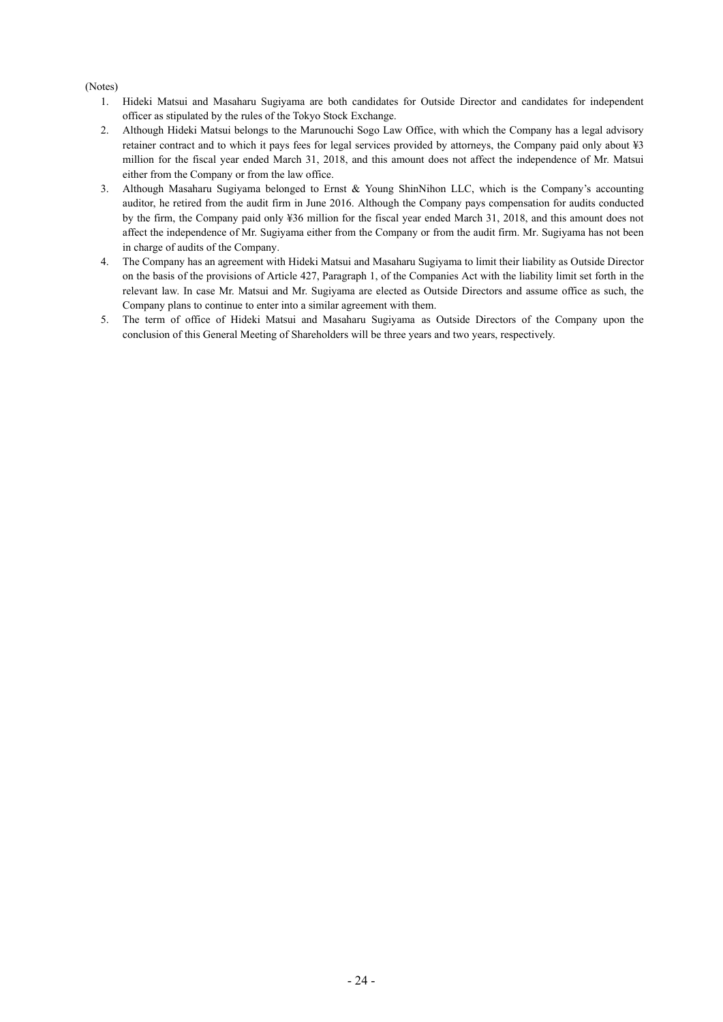### (Notes)

- 1. Hideki Matsui and Masaharu Sugiyama are both candidates for Outside Director and candidates for independent officer as stipulated by the rules of the Tokyo Stock Exchange.
- 2. Although Hideki Matsui belongs to the Marunouchi Sogo Law Office, with which the Company has a legal advisory retainer contract and to which it pays fees for legal services provided by attorneys, the Company paid only about ¥3 million for the fiscal year ended March 31, 2018, and this amount does not affect the independence of Mr. Matsui either from the Company or from the law office.
- 3. Although Masaharu Sugiyama belonged to Ernst & Young ShinNihon LLC, which is the Company's accounting auditor, he retired from the audit firm in June 2016. Although the Company pays compensation for audits conducted by the firm, the Company paid only ¥36 million for the fiscal year ended March 31, 2018, and this amount does not affect the independence of Mr. Sugiyama either from the Company or from the audit firm. Mr. Sugiyama has not been in charge of audits of the Company.
- 4. The Company has an agreement with Hideki Matsui and Masaharu Sugiyama to limit their liability as Outside Director on the basis of the provisions of Article 427, Paragraph 1, of the Companies Act with the liability limit set forth in the relevant law. In case Mr. Matsui and Mr. Sugiyama are elected as Outside Directors and assume office as such, the Company plans to continue to enter into a similar agreement with them.
- 5. The term of office of Hideki Matsui and Masaharu Sugiyama as Outside Directors of the Company upon the conclusion of this General Meeting of Shareholders will be three years and two years, respectively.